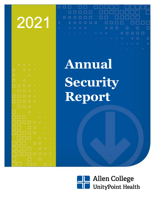# 2021

| - 13        | ٠                | ŧ               |                                                    |                |          |   |
|-------------|------------------|-----------------|----------------------------------------------------|----------------|----------|---|
| ٠<br>œ      | G.               | ۰               | <b>COL</b>                                         | ×.             |          |   |
| T.          |                  | $n \rightarrow$ |                                                    |                |          |   |
|             |                  |                 |                                                    |                |          |   |
| α           | $\Box$           |                 |                                                    | ٦              |          |   |
| a a         | Ð                |                 | ٠                                                  | ×              |          |   |
|             | 口口               | 日日              |                                                    |                |          |   |
| O           | mm               | n i e           |                                                    | ś              |          |   |
| -<br>π      |                  | ä.              | <b>Fig.</b>                                        | ۶              |          |   |
|             | <b>Din</b>       | o.              |                                                    |                |          |   |
| Ω           |                  | --<br><u>an</u> |                                                    | ÷              |          |   |
|             |                  |                 |                                                    | ٠              | ٠        |   |
| WC          |                  | <b>CO</b> C     |                                                    | ٠              |          |   |
| a post<br>œ |                  | w               | <b>Service</b><br>a Ba<br>$\mathcal{L}_{\rm{max}}$ |                |          |   |
|             |                  |                 | <b>Contract</b><br><b>TABLE</b>                    |                | ٠        |   |
|             | <b>The State</b> | $\Box$          |                                                    | $\blacksquare$ | ä        | ٦ |
|             |                  |                 | œ                                                  | o              |          | D |
|             |                  |                 |                                                    | Ð              | $\alpha$ | ÷ |
|             |                  |                 |                                                    |                | ö        | ä |
|             |                  |                 |                                                    | <b>D</b> II    |          |   |
|             |                  |                 |                                                    |                | Ħ        |   |

**Annual Security Report**

о

п

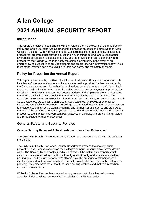# **Allen College 2021 ANNUAL SECURITY REPORT**

# **Introduction**

This report is provided in compliance with the Jeanne Clery Disclosure of Campus Security Policy and Crime Statistics Act, as amended. It provides students and employees of Allen College ("College") with information on: the College's security arrangements, policies and procedures; programs that provide education on such things as drug and alcohol abuse, awareness of various kinds of sex offenses, and the prevention of crime generally; and procedures the College will take to notify the campus community in the event of an emergency. Its purpose is to provide students and employees with information that will help them make informed decisions relating to their own safety and the safety of others.

# **Policy for Preparing the Annual Report**

This report is prepared by the Executive Director, Business & Finance in cooperation with local law enforcement authorities and includes information provided by them as well as by the College's campus security authorities and various other elements of the College. Each year an e-mail notification is made to all enrolled students and employees that provides the website link to access this report. Prospective students and employees are also notified of the report's availability. Hard copies of the report may also be obtained at no cost by contacting Denise Hanson, Executive Director, Business & Finance, in person at 1950 Heath Street, Waterloo, IA; by mail at 1825 Logan Ave., Waterloo, IA 50703; or by email at Denise.Hanson@allencollege.edu. The College is committed to taking the actions necessary to provide a safe and secure working/learning environment for all students and staff. As a member of the campus community, you can feel safe and comfortable knowing that security procedures are in place that represent best practices in the field, and are constantly tested and re-evaluated for their effectiveness.

# **General Safety and Security Policies**

#### **Campus Security Personnel & Relationship with Local Law Enforcement**

The UnityPoint Health – Waterloo Security Department is responsible for campus safety at the College.

The UnityPoint Health – Waterloo Security Department provides the security, crime prevention, and premises access on the College's campus 24 hours a day, seven days a week. The Security Department's jurisdiction covers all the institution's property which includes hospital and College facilities internally and externally and hospital and College parking lots. The Security Department's officers have the authority to ask persons for identification and to determine whether individuals have lawful business on the institution's property. They also have the authority to issue parking citations and makes arrest when criminal behavior occurs.

While the College does not have any written agreements with local law enforcement agencies, it does maintain a close working relationship with local police.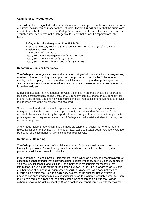#### **Campus Security Authorities**

The College has designated certain officials to serve as campus security authorities. Reports of criminal activity can be made to these officials. They in turn will ensure that the crimes are reported for collection as part of the College's annual report of crime statistics. The campus security authorities to whom the College would prefer that crimes be reported are listed below.

- Safety & Security Manager at (319) 235-3869
- Executive Director, Business & Finance at (319) 226-2012 or (319) 610-4405
- President at (319) 226-2011
- Provost at (319) 226-2040
- Dean, Enrollment Management at (3190 226-2004
- Dean, School of Nursing at (319) 226-2044
- Dean, School of Health Sciences at (319) 226-2031

#### **Reporting a Crime or Emergency**

The College encourages accurate and prompt reporting of all criminal actions, emergencies, or other incidents occurring on campus, on other property owned by the College, or on nearby public property to the appropriate administrator and appropriate police agencies. Such a report is encouraged even when the victim of a crime elects not to make a report or is unable to do so.

Situations that pose imminent danger or while a crime is in progress should be reported to local law enforcement by calling 9-911 or 911 from any campus phone or 911 from any cell phone. Keep in mind that the individual making the call from a cell phone will need to provide the address where the emergency has occurred.

Students, staff, and visitors should report criminal actions, accidents, injuries, or other emergency incidents to one of the campus security authorities identified above. Once reported, the individual making the report will be encouraged to also report it to appropriate police agencies. If requested, a member of College staff will assist a student in making the report to the police.

Anonymous incident reports can also be made via telephone, postal mail or email to the Executive Director of Business & Finance at (319) 226-2012; 1825 Logan Avenue, Waterloo, IA, 50703; or denise.hanson@allencollege.edu respectively.

#### **Confidential Reporting**

The College will protect the confidentiality of victims. Only those with a need to know the identity for purposes of investigating the crime, assisting the victim or disciplining the perpetrator will know the victim's identity.

Pursuant to the College's Sexual Harassment Policy, when an employee becomes aware of alleged misconduct under that policy (including, but not limited to, dating violence, domestic violence, sexual assault, and stalking), the employee is responsible for reporting that information, including the status of the parties if known, to the Title IX Coordinator. A victim of other types of crimes (e.g., aggravated assault, burglary, etc.) who does not want to pursue action within the College disciplinary system, or the criminal justice system is nevertheless encouraged to make a confidential report to a campus security authority. Upon the victim's request, a report of the details of the incident can be filed with the College without revealing the victim's identity. Such a confidential report complies with the victim's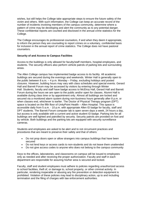wishes, but still helps the College take appropriate steps to ensure the future safety of the victim and others. With such information, the College can keep an accurate record of the number of incidents involving members of the campus community, determine where a pattern of crime may be developing and alert the community as to any potential danger. These confidential reports are counted and disclosed in the annual crime statistics for the College.

The College encourages its professional counselors, if and when they deem it appropriate, to inform the person they are counseling to report crimes on a voluntary, confidential basis for inclusion in the annual report of crime statistics. The College does not have pastoral counselors.

#### **Security of and Access to Campus Facilities**

Access to the buildings is only allowed for faculty/staff members, hospital employees, and students. The security officers also perform vehicle patrols of parking lots and surrounding areas.

The Allen College campus has implemented badge access to its facility. All academic buildings are secured during the evenings and weekends. Winter Hall is generally open to the public between 8 a.m. – 4 p.m. Monday – Friday, excluding holidays and posted closures. However, building hours may vary with class schedules and special events. Gerard Hall and Barrett Forum may be accessed by visitors by entering through Winter Hall. Students, faculty and staff have badge access to McElroy Hall, Gerard Hall and Barrett Forum during the hours we are open to the public and/or open for classes. Alumni Hall is available during class time or by appointment only. Almost all buildings are locked and secured via a monitored alarm system during non-business hours generally after 8 p.m. or when classes end, whichever is earlier. The Doctor of Physical Therapy program (DPT) space is located on the fifth floor of UnityPoint Health – Allen Hospital. This space is accessible daily from 5 a.m. - 10 p.m. with appropriate Allen ID badge for faculty, staff and DPT students. The Barrett Forum computer lab is open seven days a week, 24 hours a day, but access is only available with a current and active student ID badge. Parking lots for all buildings are well lighted and patrolled by security. Security patrols are provided on foot and by vehicle. Both buildings and the parking lots are equipped with security surveillance cameras.

Students and employees are asked to be alert and to not circumvent practices and procedures that are meant to preserve their safety and that of others:

- Do not prop doors open or allow strangers into campus buildings that have been secured
- Do not lend keys or access cards to non-students and do not leave them unattended
- Do not give access codes to anyone who does not belong to the campus community

Keys to the offices, laboratories, and classrooms on campus will be issued to employees only as needed and after receiving the proper authorization. Faculty and staff in each department are responsible for assuring his/her area is secured and locked.

Faculty, staff and student employees must adhere to policies regarding unauthorized access to school facilities, theft of, or damage to, school property, or other criminal activity. In particular, rendering inoperable or abusing any fire prevention or detection equipment is prohibited. Violation of these policies may lead to disciplinary action, up to and including termination and the filing of charges with law enforcement authorities.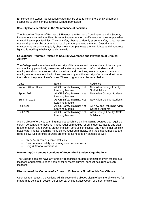Employee and student identification cards may be used to verify the identity of persons suspected to be in campus facilities without permission.

#### **Security Considerations in the Maintenance of Facilities**

The Executive Director of Business & Finance, the Business Coordinator and the Security Department work with the Plant Services Department to identify needs on the campus when maintaining campus facilities. They do safety checks to identify street or safety lights that are not working, or shrubs or other landscaping that might need trimming. Custodial and maintenance personnel regularly check to ensure pathways are well lighted and that egress lighting is working in hallways and stairwells.

#### **Educational Programs Related to Security Awareness and Prevention of Criminal Activity**

The College seeks to enhance the security of its campus and the members of the campus community by periodically presenting educational programs to inform students and employees about campus security procedures and practices, to encourage students and employees to be responsible for their own security and the security of others and to inform them about the prevention of crimes. These programs are discussed below.

| Date                | Event                             | Audience                          |
|---------------------|-----------------------------------|-----------------------------------|
| Various (Upon Hire) | <b>ALICE Safety Training: Net</b> | New Allen College Faculty,        |
|                     | Learning Module                   | Staff & Adjunct                   |
| Spring 2021         | <b>ALICE Safety Training: Net</b> | New Allen College Students        |
|                     | Learning Module                   |                                   |
| Summer 2021         | <b>ALICE Safety Training: Net</b> | <b>New Allen College Students</b> |
|                     | Learning Module                   |                                   |
| <b>Fall 2021</b>    | <b>ALICE Safety Training: Net</b> | All New and Returning Allen       |
|                     | Learning Module                   | <b>College Students</b>           |
| <b>Fall 2021</b>    | <b>ALICE Safety Training: Net</b> | Allen College Faculty, Staff      |
|                     | <b>Learning Module</b>            | & Adjunct                         |

Allen College offers Net Learning modules which are on-line training courses that require a certain percentage for passing. These required modules for our students, faculty and staff relate to patient and personal safety, infection control, compliance, and many other topics in healthcare. The Net Learning modules are required annually, and the student modules are listed below. Self-defense courses are offered as needed on campus as well.

- Clery Act & campus crime statistics
- Environmental safety and emergency preparedness
- Drug & Alcohol Awareness

#### **Monitoring Off Campus Locations of Recognized Student Organizations**

The College does not have any officially recognized student organizations with off campus locations and therefore does not monitor or record criminal conduct occurring at such locations.

#### **Disclosure of the Outcome of a Crime of Violence or Non-Forcible Sex Offense**

Upon written request, the College will disclose to the alleged victim of a crime of violence (as that term is defined in section 16 of title 18, United States Code), or a non-forcible sex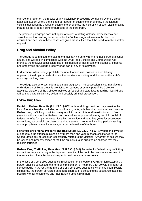offense, the report on the results of any disciplinary proceeding conducted by the College against a student who is the alleged perpetrator of such crime or offense. If the alleged victim is deceased as a result of such crime or offense, the next of kin of such victim shall be treated as the alleged victim for purposes of the paragraph.

The previous paragraph does not apply to victims of dating violence, domestic violence, sexual assault, or stalking because under the Violence Against Women Act both the accused and accuser in these cases are given the results without the need to make a written request.

# **Drug and Alcohol Policy**

The College is committed to creating and maintaining an environment that is free of alcohol abuse. The College, in compliance with the Drug-Free Schools and Communities Act, prohibits the unlawful possession, use or distribution of illicit drugs and alcohol by students and employees on College property or as part of any of its activities.

Furthermore, Allen College prohibits the unauthorized use, possession, or delivery of prescription drugs or medications in the work/school setting, and it enforces the state's underage drinking laws.

The College also enforces federal and state drug laws. The possession, sale, manufacture or distribution of illegal drugs is prohibited on campus or as any part of the College's activities. Violators of the College's policies or federal and state laws regarding illegal drugs will be subject to disciplinary action and possibly criminal prosecution.

#### **Federal Drug Laws**

**Denial of Federal Benefits (21 U.S.C. § 862)** A federal drug conviction may result in the loss of federal benefits, including school loans, grants, scholarships, contracts, and licenses. Federal drug trafficking convictions may result in denial of federal benefits for up to five years for a first conviction. Federal drug convictions for possession may result in denial of federal benefits for up to one year for a first conviction and up to five years for subsequent convictions, successful completion of a drug treatment program, including periodic testing, and appropriate community service, or any combination of the three.

**Forfeiture of Personal Property and Real Estate (21 U.S.C. § 853)** Any person convicted of a federal drug offense punishable by more than one year in prison shall forfeit to the United States any personal or real property related to the violation. A warrant of seizure may be issued and property seized at the time an individual is arrested on charges that may result in forfeiture.

**Federal Drug Trafficking Penalties (21 U.S.C. § 841)** Penalties for federal drug trafficking convictions vary according to the type and quantity of the controlled substance involved in the transaction. Penalties for subsequent convictions are more severe.

In the case of a controlled substance in schedule I or schedule II, GHB, or flunitrazepam, a person shall be sentenced to a term of imprisonment of not more than 20 years. If death or serious bodily injury results from the use of a controlled substance which has been illegally distributed, the person convicted on federal charges of distributing the substance faces the possibility of a life sentence and fines ranging up to \$10 million.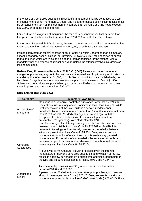In the case of a controlled substance in schedule III, a person shall be sentenced to a term of imprisonment of not more than 10 years, and if death or serious bodily injury results, shall be sentenced to a term of imprisonment of not more than 15 years or a fine not to exceed \$500,000, or both, for a first offense.

For less than 50 kilograms of marijuana, the term of imprisonment shall not be more than five years, and the fine shall not be more than \$250,000, or both, for a first offense.

In the case of a schedule IV substance, the term of imprisonment shall not be more than five years, and the fine shall not be more than \$250,000, or both, for a first offense.

Persons convicted on federal charges of drug trafficking within 1,000 feet of an elementary school, secondary school, college, or university **(21 U.S.C. § 860)** face penalties of prison terms and fines which are twice as high as the regular penalties for the offense, with a mandatory prison sentence of at least one year, unless the offense involves five grams or less of marijuana.

**Federal Drug Possession Penalties (21 U.S.C. § 844)** Persons convicted on federal charges of possessing any controlled substance face penalties of up to one year in prison, a mandatory fine of no less than \$1,000, or both. Second convictions are punishable by not less than 15 days but not more than two years in prison and a minimum fine of \$2,500. Subsequent convictions are punishable by not less than 90 days but not more than three years in prison and a minimum fine of \$5,000.

| Category                     | <b>Summary (lowa Code)</b>                                                                                                                                                                                                                                                                                                                                                                                                                                                                                                                                    |  |  |
|------------------------------|---------------------------------------------------------------------------------------------------------------------------------------------------------------------------------------------------------------------------------------------------------------------------------------------------------------------------------------------------------------------------------------------------------------------------------------------------------------------------------------------------------------------------------------------------------------|--|--|
| Possession of<br>Marijuana   | Marijuana is a Schedule I controlled substance. Iowa Code § 124.204.<br>Recreational use of marijuana is prohibited in Iowa. Iowa Code § 124.401.<br>First time violation of the law results in a serious misdemeanor,<br>punishable by imprisonment of not more than 6 months, a fine of not more<br>than \$1000, or both. Id. Medical marijuana is also illegal, with the<br>exception of certain specifications of cannabidiol, pursuant to a<br>prescription. See generally lowa Code Chapter 124E.                                                       |  |  |
| Controlled<br>Substances     | lowa has a range of statutes governing controlled substances and their<br>possession and distribution. Iowa Code §§ 124.101 - 124.418. It is<br>unlawful to knowingly or intentionally possess a controlled substance<br>without a prescription. Iowa Code § 124.401. Doing so is a serious<br>misdemeanor for a first offense. A second offense is an aggravated<br>misdemeanor. Possession of a controlled substance near schools or<br>certain other public properties may also result in one hundred hours of<br>community service. Iowa Code § 124.401B. |  |  |
|                              | It is unlawful to manufacture, deliver, or possess with the intent to<br>manufacture or deliver a controlled substance, and violation of the law<br>results in a felony, punishable by a prison time and fines, depending on<br>the type and amount of substance at issue. Iowa Code $\S$ 124.401.<br>As an example, possession of 50 grams of heroin results in a fine<br>between \$1000 and \$50,000.                                                                                                                                                       |  |  |
| Alcohol and<br><b>Minors</b> | A person under 21 shall not purchase, attempt to purchase, or consume<br>alcoholic beverages. Iowa Code § 123.47. Doing so results in a simple<br>misdemeanor punishable by a fine of \$260. Iowa Code § 805.8C(7). For a                                                                                                                                                                                                                                                                                                                                     |  |  |

#### **Drug and Alcohol State Laws**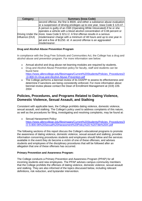| Category        | <b>Summary (lowa Code)</b>                                                       |
|-----------------|----------------------------------------------------------------------------------|
|                 | second offense, the fine is \$500, and either a substance abuse evaluation       |
|                 | or a suspension of driving privileges up to one year. Iowa Code § 123.47.        |
|                 | A person is guilty of an OWI (Operating While Intoxicated) if he or she          |
|                 | operates a vehicle with a blood alcohol concentration of 0.08 percent or         |
|                 | Driving Under the more. Iowa Code § 321J.2. A first offense results in a serious |
| Influence (DUI) | misdemeanor charge with a minimum of 48 hours and up to one year in              |
|                 | ail and a fine of \$1250. Id. A second offense is an aggravated                  |
|                 | misdemeanor.                                                                     |

#### **Drug and Alcohol Abuse Prevention Program**

In compliance with the Drug Free Schools and Communities Act, the College has a drug and alcohol abuse and prevention program. For more information see below:

- Annual alcohol and drug abuse net learning modules are required by students.
- Drug and Alcohol Abuse Prevention policy for faculty, staff and students can be found here: [https://www.allencollege.edu/filesimages/Current%20Students/Policies\\_Procedures/2](https://www.allencollege.edu/filesimages/Current%20Students/Policies_Procedures/2-D-800-01-Drug-and-Alcohol-Abuse-Prevention.pdf) [-D-800-01-Drug-and-Alcohol-Abuse-Prevention.pdf](https://www.allencollege.edu/filesimages/Current%20Students/Policies_Procedures/2-D-800-01-Drug-and-Alcohol-Abuse-Prevention.pdf)
- The College performs a biennial review of its DAAPP to assess its effectiveness and determine if sanctions are being consistently enforced. For more information about biennial review please contact the Dean of Enrollment Management at (319) 226- 2004

# **Policies, Procedures, and Programs Related to Dating Violence, Domestic Violence, Sexual Assault, and Stalking**

Consistent with applicable laws, the College prohibits dating violence, domestic violence, sexual assault, and stalking. The College's policy used to address complaints of this nature, as well as the procedures for filing, investigating and resolving complaints, may be found at:

• Sexual Harassment Policy: [https://www.allencollege.edu/filesimages/Current%20Students/Policies\\_Procedures/3](https://www.allencollege.edu/filesimages/Current%20Students/Policies_Procedures/3/2-S-800-06%20Sexual%20Harassment%20Policy%20-%20Title%20IX.pdf) [/2-S-800-06%20Sexual%20Harassment%20Policy%20-%20Title%20IX.pdf](https://www.allencollege.edu/filesimages/Current%20Students/Policies_Procedures/3/2-S-800-06%20Sexual%20Harassment%20Policy%20-%20Title%20IX.pdf)

The following sections of this report discuss the College's educational programs to promote the awareness of dating violence, domestic violence, sexual assault and stalking; provides information concerning procedures students and employees should follow and the services available in the event they do become a victim of one of these offenses, and advises students and employees of the disciplinary procedures that will be followed after an allegation that one of these offenses has occurred.

#### **Primary Prevention and Awareness Program:**

The College conducts a Primary Prevention and Awareness Program (PPAP) for all incoming students and new employees. The PPAP advises campus community members that the College prohibits the offenses of dating violence, domestic violence, sexual assault and stalking. They are also informed of the topics discussed below, including relevant definitions, risk reduction, and bystander intervention.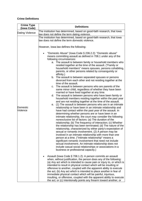#### **Crime Definitions**

| <b>Crime Type</b><br>(Iowa Code) | <b>Definitions</b>                                                                                                                                                                                                                                                                                                                                                                                                                                                                                                                                                                                                                                                                                                                                                                                                                                                                                                                                                                                                                                                                                                                                                                                                                                                                                                                                                                                                                                                                                                                                                                                                                                                                                                                                                                                                                                                                                                                                                                                                                                                                                                                                                                                                                                                                                                                                                                                                                                                                                                                                                                                                                                                                                                                                                      |  |  |
|----------------------------------|-------------------------------------------------------------------------------------------------------------------------------------------------------------------------------------------------------------------------------------------------------------------------------------------------------------------------------------------------------------------------------------------------------------------------------------------------------------------------------------------------------------------------------------------------------------------------------------------------------------------------------------------------------------------------------------------------------------------------------------------------------------------------------------------------------------------------------------------------------------------------------------------------------------------------------------------------------------------------------------------------------------------------------------------------------------------------------------------------------------------------------------------------------------------------------------------------------------------------------------------------------------------------------------------------------------------------------------------------------------------------------------------------------------------------------------------------------------------------------------------------------------------------------------------------------------------------------------------------------------------------------------------------------------------------------------------------------------------------------------------------------------------------------------------------------------------------------------------------------------------------------------------------------------------------------------------------------------------------------------------------------------------------------------------------------------------------------------------------------------------------------------------------------------------------------------------------------------------------------------------------------------------------------------------------------------------------------------------------------------------------------------------------------------------------------------------------------------------------------------------------------------------------------------------------------------------------------------------------------------------------------------------------------------------------------------------------------------------------------------------------------------------------|--|--|
| Dating Violence                  | The institution has determined, based on good-faith research, that lowa                                                                                                                                                                                                                                                                                                                                                                                                                                                                                                                                                                                                                                                                                                                                                                                                                                                                                                                                                                                                                                                                                                                                                                                                                                                                                                                                                                                                                                                                                                                                                                                                                                                                                                                                                                                                                                                                                                                                                                                                                                                                                                                                                                                                                                                                                                                                                                                                                                                                                                                                                                                                                                                                                                 |  |  |
| Domestic<br>Violence             | law does not define the term dating violence.<br>The institution has determined, based on good-faith research, that lowa<br>law does not define the term domestic violence.<br>However, lowa law defines the following:<br>"Domestic Abuse" (lowa Code § 236.2.2): "Domestic abuse"<br>means committing assault as defined in 708.1 under any of the<br>following circumstances:<br>a. The assault is between family or household members who<br>resided together at the time of the assault. ("Family or<br>household members" means spouses, persons cohabiting,<br>parents, or other persons related by consanguinity or<br>affinity.)<br>b. The assault is between separated spouses or persons<br>divorced from each other and not residing together at the<br>time of the assault.<br>c. The assault is between persons who are parents of the<br>same minor child, regardless of whether they have been<br>married or have lived together at any time.<br>d. The assault is between persons who have been family or<br>household members residing together within the past year<br>and are not residing together at the time of the assault.<br>(1) The assault is between persons who are in an intimate<br>е.<br>relationship or have been in an intimate relationship and<br>have had contact within the past year of the assault. In<br>determining whether persons are or have been in an<br>intimate relationship, the court may consider the following<br>nonexclusive list of factors: (a) The duration of the<br>relationship; (b) The frequency of interaction; (c) Whether<br>the relationship has been terminated; (d) The nature of the<br>relationship, characterized by either party's expectation of<br>sexual or romantic involvement. (2) A person may be<br>involved in an intimate relationship with more than one<br>person at a time. ("Intimate relationship" means a<br>significant romantic involvement that need not include<br>sexual involvement. An intimate relationship does not<br>include casual social relationships or associations in a<br>business or professional capacity.)<br>Assault (Iowa Code § 708.1.2): A person commits an assault<br>when, without justification, the person does any of the following:<br>(a) Any act which is intended to cause pain or injury to, or which is<br>intended to result in physical contact which will be insulting or<br>offensive to another, coupled with the apparent ability to execute<br>the act; (b) Any act which is intended to place another in fear of<br>immediate physical contact which will be painful, injurious,<br>insulting, or offensive, coupled with the apparent ability to execute<br>the act; or (c) Intentionally points any firearm toward another, or |  |  |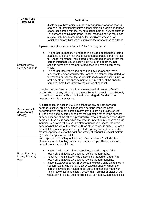| <b>Crime Type</b><br>(Iowa Code)                | <b>Definitions</b>                                                                                                                                                                                                                                                                                                                                                                                                                                                                                                                                                                                                                                                                                                                                                                                         |  |  |
|-------------------------------------------------|------------------------------------------------------------------------------------------------------------------------------------------------------------------------------------------------------------------------------------------------------------------------------------------------------------------------------------------------------------------------------------------------------------------------------------------------------------------------------------------------------------------------------------------------------------------------------------------------------------------------------------------------------------------------------------------------------------------------------------------------------------------------------------------------------------|--|--|
|                                                 | displays in a threatening manner any dangerous weapon toward<br>another; (d) Intentionally points a laser emitting a visible light bean<br>at another person with the intent to cause pain or injury to another.<br>For purposes of this paragraph, "laser" means a device that emits<br>a visible light beam amplified by the stimulated emission of<br>radiation and any light which simulates the appearance of a laser.                                                                                                                                                                                                                                                                                                                                                                                |  |  |
|                                                 | A person commits stalking when all of the following occur:                                                                                                                                                                                                                                                                                                                                                                                                                                                                                                                                                                                                                                                                                                                                                 |  |  |
| Stalking (lowa<br>Code § 708.11.2)              | a. The person purposefully engages in a course of conduct directed<br>at a specific person that would cause a reasonable person to feel<br>terrorized, frightened, intimidated, or threatened or to fear that the<br>person intends to cause bodily injury to, or the death of, that<br>specific person or a member of the specific person's immediate<br>family.<br>b. The person has knowledge or should have knowledge that a<br>reasonable person would feel terrorized, frightened, intimidated, or<br>threatened or fear that the person intends to cause bodily injury to,<br>or the death of, that specific person or a member of the specific<br>person's immediate family by the course of conduct.                                                                                              |  |  |
| <b>Sexual Assault</b><br>(Iowa Code §<br>915.40 | lowa law defines "sexual assault" to mean sexual abuse as defined in<br>section 709.1, or any other sexual offense by which a victim has allegedly<br>had sufficient contact with a convicted or an alleged offender to be<br>deemed a significant exposure.<br>'Sexual abuse" in section 709.1 is defined as any sex act between<br>persons is sexual abuse by either of the persons when the act is<br>performed with the other person in any of the following circumstances:<br>1) The act is done by force or against the will of the other. If the consent<br>or acquiescence of the other is procured by threats of violence toward any<br>person or if the act is done while the other is under the influence of a drug<br>inducing sleep or is otherwise in a state of unconsciousness, the act is |  |  |
|                                                 | done against the will of the other. 2) Such other person is suffering from a<br>mental defect or incapacity which precludes giving consent, or lacks the<br>mental capacity to know the right and wrong of conduct in sexual matters.<br>3) Such other person is a child.<br>For purposes of the Clery Act, the term "sexual assault" includes the<br>offenses of rape, fondling, incest, and statutory rape. These definitions                                                                                                                                                                                                                                                                                                                                                                            |  |  |
| Rape, Fondling,<br>Incest, Statutory<br>Rape    | under lowa law are as follows:<br>Rape: The institution has determined, based on good-faith<br>$\bullet$<br>research, that lowa law does not define the term rape.<br>Fondling: The institution has determined, based on good-faith<br>$\bullet$<br>research, that lowa law does not define the term fondling.<br>Incest (Iowa Code § 726.2): A person, except a child as defined in<br>$\bullet$<br>section 702.5, who performs a sex act with another whom the<br>person knows to be related to the person, either legitimately or<br>illegitimately, as an ancestor, descendant, brother or sister of the<br>whole or half blood, aunt, uncle, niece, or nephew, commits incest.                                                                                                                        |  |  |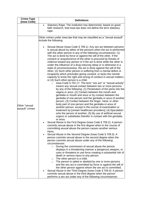| <b>Crime Type</b><br>(Iowa Code) | <b>Definitions</b>                                                                                                                                                                                                                                                                                                                                                                                                                                                                                                                                                                                                                                                                                                                                                                                                                                                                                                                                                                                                                                                                                                                                                                                                                                                                                                                                                                                                                                                                                                                                                                                                                                                                                                                                                                                                                                                                                                                                                                                                                                                                                                                                                                                                                                                                                                                                        |  |  |
|----------------------------------|-----------------------------------------------------------------------------------------------------------------------------------------------------------------------------------------------------------------------------------------------------------------------------------------------------------------------------------------------------------------------------------------------------------------------------------------------------------------------------------------------------------------------------------------------------------------------------------------------------------------------------------------------------------------------------------------------------------------------------------------------------------------------------------------------------------------------------------------------------------------------------------------------------------------------------------------------------------------------------------------------------------------------------------------------------------------------------------------------------------------------------------------------------------------------------------------------------------------------------------------------------------------------------------------------------------------------------------------------------------------------------------------------------------------------------------------------------------------------------------------------------------------------------------------------------------------------------------------------------------------------------------------------------------------------------------------------------------------------------------------------------------------------------------------------------------------------------------------------------------------------------------------------------------------------------------------------------------------------------------------------------------------------------------------------------------------------------------------------------------------------------------------------------------------------------------------------------------------------------------------------------------------------------------------------------------------------------------------------------------|--|--|
|                                  | Statutory Rape: The institution has determined, based on good-<br>$\bullet$<br>faith research, that lowa law does not define the term statutory<br>rape.                                                                                                                                                                                                                                                                                                                                                                                                                                                                                                                                                                                                                                                                                                                                                                                                                                                                                                                                                                                                                                                                                                                                                                                                                                                                                                                                                                                                                                                                                                                                                                                                                                                                                                                                                                                                                                                                                                                                                                                                                                                                                                                                                                                                  |  |  |
| Other "sexual<br>assault" crimes | Other crimes under lowa law that may be classified as a "sexual assault"<br>include the following:<br>Sexual Abuse (lowa Code § 709.1): Any sex act between persons<br>is sexual abuse by either of the persons when the act is performed<br>with the other person in any of the following circumstances: (1)<br>The act is done by force or against the will of the other. If the<br>consent or acquiescence of the other is procured by threats of<br>violence toward any person or if the act is done while the other is<br>under the influence of a drug inducing sleep or is otherwise in a<br>state of unconsciousness, the act is done against the will of the<br>other; (2) Such other person is suffering from a mental defect or<br>incapacity which precludes giving consent, or lacks the mental<br>capacity to know the right and wrong of conduct in sexual matters;<br>or (3) Such other person is a child.<br>lowa Code § 702.17: The term "sex act" or "sexual activity"<br>$\circ$<br>means any sexual contact between two or more persons<br>by any of the following: (1) Penetration of the penis into the<br>vagina or anus; (2) Contact between the mouth and<br>genitalia or mouth and anus or by contact between the<br>genitalia of one person and the genitalia or anus of another<br>person; (3) Contact between the finger, hand, or other<br>body part of one person and the genitalia or anus of<br>another person, except in the course of examination or<br>treatment by [certain healthcare providers]; (4) Ejaculation<br>onto the person of another; (5) By use of artificial sexual<br>organs or substitutes therefor in contact with the genitalia<br>or anus.<br>Sexual Abuse in the First Degree (lowa Code § 709.2): A person<br>commits sexual abuse in the first degree when in the course of<br>committing sexual abuse the person causes another serious<br>injury.<br>Sexual Abuse in the Second Degree (lowa Code § 709.3): A<br>person commits sexual abuse in the second degree when the<br>person commits sexual abuse under any of the following<br>circumstances:<br>During the commission of sexual abuse the person<br>$\circ$<br>displays in a threatening manner a dangerous weapon, or<br>uses or threatens to use force creating a substantial risk of<br>death or serious injury to any person. |  |  |
|                                  | The other person is a child.<br>$\circ$<br>The person is aided or abetted by one or more persons<br>$\circ$<br>and the sex act is committed by force or against the will of<br>the other person against whom the sex act is committed.<br>Sexual Abuse in the Third Degree (lowa Code § 709.4): A person<br>commits sexual abuse in the third degree when the person<br>performs a sex act under any of the following circumstances:                                                                                                                                                                                                                                                                                                                                                                                                                                                                                                                                                                                                                                                                                                                                                                                                                                                                                                                                                                                                                                                                                                                                                                                                                                                                                                                                                                                                                                                                                                                                                                                                                                                                                                                                                                                                                                                                                                                      |  |  |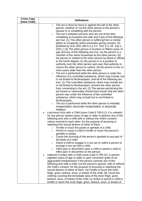| <b>Crime Type</b> | <b>Definitions</b>                                                                                                                          |  |  |
|-------------------|---------------------------------------------------------------------------------------------------------------------------------------------|--|--|
| (Iowa Code)       | The act is done by force or against the will of the other                                                                                   |  |  |
|                   | $\circ$<br>person, whether or not the other person is the person's<br>spouse or is cohabiting with the person.                              |  |  |
|                   | The act is between persons who are not at the time<br>$\circ$                                                                               |  |  |
|                   | cohabiting as husband and wife and if any of the following                                                                                  |  |  |
|                   | are true: (1) The other person is suffering from a mental                                                                                   |  |  |
|                   | defect or incapacity which precludes giving consent; (2)                                                                                    |  |  |
|                   | [Deleted by Acts 2021 (89 G.A.) S.F. 253, § 4, eff. July 1,                                                                                 |  |  |
|                   | 2021.]; (3) The other person is fourteen or fifteen years of<br>age and any of the following are true: (a) the person is a                  |  |  |
|                   | member of the same household as the other person; (b)                                                                                       |  |  |
|                   | the person is related to the other person by blood or affinity                                                                              |  |  |
|                   | to the fourth degree; (c) the person is in a position of                                                                                    |  |  |
|                   | authority over the other person and uses that authority to                                                                                  |  |  |
|                   | coerce the other person to submit; (d) the person is four or                                                                                |  |  |
|                   | more years older than the other person.<br>The act is performed while the other person is under the                                         |  |  |
|                   | $\circ$<br>influence of a controlled substance, which may include, but                                                                      |  |  |
|                   | is not limited to flunitrazepam, and all of the following are                                                                               |  |  |
|                   | true: (1) The controlled substance, which may include but                                                                                   |  |  |
|                   | is not limited to flunitrazepam, prevent the other person                                                                                   |  |  |
|                   | from consenting to the act; (2) The person performing the                                                                                   |  |  |
|                   | act knows or reasonably should have known that the other<br>person was under the influence of the controlled                                |  |  |
|                   | substance, which may include but is not limited to                                                                                          |  |  |
|                   | flunitrazepam.                                                                                                                              |  |  |
|                   | The act is performed while the other person is mentally<br>$\circ$                                                                          |  |  |
|                   | incapacitated, physically incapacitated, or physically                                                                                      |  |  |
|                   | helpless.<br>Lascivious Acts with a Child (lowa Code § 709.8.1): It is unlawful                                                             |  |  |
|                   | for any person sixteen years of age or older to perform any of the                                                                          |  |  |
|                   | following acts with a child with or without the child's consent                                                                             |  |  |
|                   | unless married to each other, for the purpose of arousing or                                                                                |  |  |
|                   | satisfying the sexual desires of either of them:                                                                                            |  |  |
|                   | Fondle or touch the pubes or genitals of a child.<br>$\circ$<br>Permit or cause a child to fondle or touch the person's<br>$\circ$          |  |  |
|                   | genitals or pubes.                                                                                                                          |  |  |
|                   | Cause the touching of the person's genitals to any part of<br>$\circ$                                                                       |  |  |
|                   | the body of a child.                                                                                                                        |  |  |
|                   | Solicit a child to engage in a sex act or solicit a person to<br>$\circ$<br>arrange a sex act with a child.                                 |  |  |
|                   | Inflict pain or discomfort upon a child or permit a child to<br>$\circ$                                                                     |  |  |
|                   | inflict pain or discomfort on the person.                                                                                                   |  |  |
|                   | Indecent Contact with a Child (lowa Code § 709.12): A person                                                                                |  |  |
|                   | eighteen years of age or older is upon conviction guilty of an                                                                              |  |  |
|                   | aggravated misdemeanor if the person commits any of the                                                                                     |  |  |
|                   | following acts with a child, not the person's spouse, with or without<br>the child's consent, for the purpose of arousing or satisfying the |  |  |
|                   | sexual desires of either of them: (a) Fondle or touch the inner                                                                             |  |  |
|                   | thigh, groin, buttock, anus, or breast of the child; (b) Touch the                                                                          |  |  |
|                   | clothing covering the immediate area of the inner thigh, groin,                                                                             |  |  |
|                   | buttock, anus, or breast of the child; (c) Solicit or permit a child to                                                                     |  |  |
|                   | fondle or touch the inner thigh, groin, buttock, anus, or breast of                                                                         |  |  |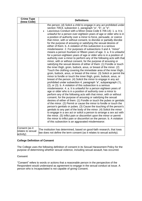| <b>Crime Type</b><br>(Iowa Code)                 | <b>Definitions</b>                                                                                                                                                                                                                                                                                                                                                                                                                                                                                                                                                                                                                                                                                                                                                                                                                                                                                                                                                                                                                                                                                                                                                                                                                                                                                                                                                                                                                                                                                                                                                                                                                                                                                                                                                                                                                                                                                                                                                                                                                                                                                                                                                                                                                                                                                                                                                      |  |  |
|--------------------------------------------------|-------------------------------------------------------------------------------------------------------------------------------------------------------------------------------------------------------------------------------------------------------------------------------------------------------------------------------------------------------------------------------------------------------------------------------------------------------------------------------------------------------------------------------------------------------------------------------------------------------------------------------------------------------------------------------------------------------------------------------------------------------------------------------------------------------------------------------------------------------------------------------------------------------------------------------------------------------------------------------------------------------------------------------------------------------------------------------------------------------------------------------------------------------------------------------------------------------------------------------------------------------------------------------------------------------------------------------------------------------------------------------------------------------------------------------------------------------------------------------------------------------------------------------------------------------------------------------------------------------------------------------------------------------------------------------------------------------------------------------------------------------------------------------------------------------------------------------------------------------------------------------------------------------------------------------------------------------------------------------------------------------------------------------------------------------------------------------------------------------------------------------------------------------------------------------------------------------------------------------------------------------------------------------------------------------------------------------------------------------------------------|--|--|
|                                                  | the person; (d) Solicit a child to engage in any act prohibited under<br>section 709.8, subsection 1, paragraph "a", "b", or "e".<br>Lascivious Conduct with a Minor (lowa Code § 709.14): 1. a. It is<br>$\bullet$<br>unlawful for a person over eighteen years of age or older who is in<br>a position of authority over a minor to force, persuade, or coerce<br>that minor, with or without consent, to disrobe or partially disrobe<br>for the purpose of arousing or satisfying the sexual desires of<br>either of them. b. A violation of this subsection is a serious<br>misdemeanor. 2. For purposes of subsections 3 and 4, "minor"<br>means a person fourteen or fifteen years of age. 3. a. It is unlawful<br>for a person eighteen years of age or older who is in a position of<br>authority over a minor to perform any of the following acts with that<br>minor, with or without consent, for the purpose of arousing or<br>satisfying the sexual desires of either of them: (1) Fondle or touch<br>the inner thigh, groin, buttock, anus, or breast of the minor. (2)<br>Touch the clothing covering the immediate area of the inner thigh,<br>groin, buttock, anus, or breast of the minor. (3) Solicit or permit the<br>minor to fondle or touch the inner thigh, groin, buttock, anus, or<br>breast of the person. (4) Solicit the minor to engage in any act<br>prohibited under subsection 4, paragraph "a", subparagraph (1),<br>(2), or (3). b. A violation of this subsection is a serious<br>misdemeanor. 4. a. It is unlawful for a person eighteen years of<br>age or older who is in a position of authority over a minor to<br>perform any of the following acts with that minor, with or without<br>consent, for the purpose of arousing or satisfying the sexual<br>desires of either of them: (1) Fondle or touch the pubes or genitals<br>of the minor. (2) Permit or cause the minor to fondle or touch the<br>person's genitals or pubes. (3) Cause the touching of the person's<br>genitals to any part of the body of the minor. (4) Solicit the minor<br>to engage in a sex act or solicit a person to arrange a sex act with<br>the minor. (5) Inflict pain or discomfort upon the minor or permit<br>the minor to inflict pain or discomfort on the person. b. A violation<br>of this subsection is an aggravated misdemeanor. |  |  |
| Consent (as it<br>relates to sexual<br>activity) | The institution has determined, based on good-faith research, that lowa<br>law does not define the term consent (as it relates to sexual activity).                                                                                                                                                                                                                                                                                                                                                                                                                                                                                                                                                                                                                                                                                                                                                                                                                                                                                                                                                                                                                                                                                                                                                                                                                                                                                                                                                                                                                                                                                                                                                                                                                                                                                                                                                                                                                                                                                                                                                                                                                                                                                                                                                                                                                     |  |  |

#### **College Definition of Consent**

The College uses the following definition of consent in its Sexual Harassment Policy for the purpose of determining whether sexual violence, including sexual assault, has occurred.

#### **Consent**

"Consent" refers to words or actions that a reasonable person in the perspective of the Respondent would understand as agreement to engage in the sexual conduct at issue. A person who is Incapacitated is not capable of giving Consent.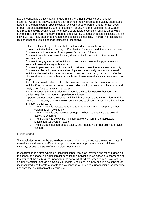Lack of consent is a critical factor in determining whether Sexual Harassment has occurred. As defined above, consent is an informed, freely given, and mutually understood agreement to participate in specific sexual acts with another person that is not achieved through unreasonable manipulation or coercion—or any kind of physical force or weapon and requires having cognitive ability to agree to participate. Consent requires an outward demonstration, through mutually understandable words, conduct or action, indicating that an individual has freely chosen to engage in the specific sexual acts. A verbal "no" constitutes lack of consent, even if it sounds insincere or indecisive.

- Silence or lack of physical or verbal resistance does not imply consent.
- If coercion, intimidation, threats, and/or physical force are used, there is no consent.
- Consent cannot be inferred from a person's manner of dress.
- Consent to one form of sexual activity does not imply consent to other forms of sexual activity.
- Consent to engage in sexual activity with one person does not imply consent to engage in sexual activity with another.
- Consent to past sexual activity does not constitute consent to future sexual activity.
- Consent can be withdrawn at any time. A person who initially consents to sexual activity is deemed not to have consented to any sexual activity that occurs after he or she withdraws consent. When consent is withdrawn, sexual activity must immediately stop.
- Being in a romantic relationship with someone does not imply consent to sexual activity. Even in the context of an ongoing relationship, consent must be sought and freely given for each specific sexual act.
- Effective consent may not exist when there is a disparity in power between the parties (e.g., faculty/student, supervisor/employee).
- A person cannot consent to sexual activity if that person is unable to understand the nature of the activity or give knowing consent due to circumstances, including without limitation the following:
	- $\circ$  The individual is incapacitated due to drug or alcohol consumption, either voluntarily or involuntarily;
	- $\circ$  The individual is unconscious, asleep, or otherwise unaware that sexual activity is occurring;
	- o The individual is below the minimum age of consent in the applicable jurisdiction (16 years in lowa or:
	- $\circ$  The individual has a mental disability that impairs his or her ability to provide consent.

#### **Incapacitated**

"Incapacitated" refers to the state where a person does not appreciate the nature or fact of sexual activity due to the effect of drugs or alcohol consumption, medical condition or disability, or due to a state of unconsciousness or sleep.

Incapacitation is a state where an individual cannot make an informed and rational decision to consent to engage in sexual contact because the individual lacks conscious knowledge of the nature of the act (e.g., to understand the "who, what, where, when, why or how" of the sexual interaction) and/or is physically or mentally helpless. An individual is also considered incapacitated, and therefore unable to give consent, when asleep, unconscious, or otherwise unaware that sexual contact is occurring.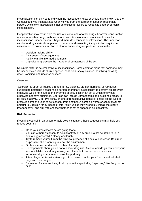Incapacitation can only be found when the Respondent knew or should have known that the Complainant was incapacitated when viewed from the position of a sober, reasonable person. One's own intoxication is not an excuse for failure to recognize another person's incapacitation.

Incapacitation may result from the use of alcohol and/or other drugs; however, consumption of alcohol of other drugs, inebriation, or intoxication alone are insufficient to establish incapacitation. Incapacitation is beyond mere drunkenness or intoxication. The impact of alcohol or drugs varies from person to person, and evaluating incapacitation requires an assessment of how consumption of alcohol and/or drugs impacts an individual's:

- Decision-making ability
- Awareness of consequences
- Ability to make informed judgments
- Capacity to appreciate the nature of circumstances of the act.

No single factor is determinative of incapacitation. Some common signs that someone may be incapacitated include slurred speech, confusion, shaky balance, stumbling or falling down, vomiting, and unconsciousness.

#### **Coercion**

"Coercion" is direct or implied threat of force, violence, danger, hardship, or retribution sufficient to persuade a reasonable person of ordinary susceptibility to perform an act which otherwise would not have been performed or acquiesce in an act to which one would otherwise not have submitted. Coercion can include unreasonable and sustained pressure for sexual activity. Coercive behavior differs from seductive behavior based on the type of pressure someone uses to get consent from another. A person's words or conduct cannot amount to Coercion for purposes of this Policy unless they wrongfully impair the other's freedom of will and ability to choose whether or not to engage in sexual activity.

#### **Risk Reduction**

If you find yourself in an uncomfortable sexual situation, these suggestions may help you reduce your risk:

- Make your limits known before going too far.
- You can withdraw consent to sexual activity at any time. Do not be afraid to tell a sexual aggressor "NO" clearly and loudly.
- Try to remove yourself from the physical presence of a sexual aggressor. Be direct as possible about wanting to leave the environment.
- Grab someone nearby and ask them for help.
- Be responsible about your alcohol and/or drug use. Alcohol and drugs can lower your sexual inhibitions and may make you vulnerable to someone who views an intoxicated/high person as a sexual opportunity.
- Attend large parties with friends you trust. Watch out for your friends and ask that they watch out for you.
- Be aware of someone trying to slip you an incapacitating "rape drug" like Rohypnol or GHB.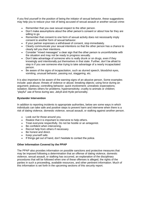If you find yourself in the position of being the initiator of sexual behavior, these suggestions may help you to reduce your risk of being accused of sexual assault or another sexual crime:

- Remember that you owe sexual respect to the other person.
- Don't make assumptions about the other person's consent or about how far they are willing to go.
- Remember that consent to one form of sexual activity does not necessarily imply consent to another form of sexual behavior.
- If your partner expresses a withdrawal of consent, stop immediately.
- Clearly communicate your sexual intentions so that the other person has a chance to clearly tell you their intentions.
- Consider "mixed messages" a clear sign that the other person is uncomfortable with the situation and may not be ready to progress sexually.
- Don't take advantage of someone who is really drunk or on drugs, even if they knowingly and intentionally put themselves in that state. Further, don't be afraid to step in if you see someone else trying to take advantage of a nearly incapacitated person.
- Be aware of the signs of incapacitation, such as slurred speech, bloodshot eyes, vomiting, unusual behavior, passing out, staggering, etc.

It is also important to be aware of the warning signs of an abusive person. Some examples include: past abuse; threats of violence or abuse; breaking objects; using force during an argument; jealousy; controlling behavior; quick involvement; unrealistic expectations; isolation; blames others for problems; hypersensitivity; cruelty to animals or children; "playful" use of force during sex; Jekyll-and-Hyde personality.

#### **Bystander Intervention**

In addition to reporting incidents to appropriate authorities, below are some ways in which individuals can take safe and positive steps to prevent harm and intervene when there is a risk of dating violence, domestic violence, sexual assault, or stalking against another person.

- Look out for those around you.
- Realize that it is important to intervene to help others.
- Treat everyone respectfully. Do not be hostile or an antagonist.
- Be confident when intervening.
- Recruit help from others if necessary.
- Be honest and direct.
- Keep yourself safe.
- If things get out of hand, don't hesitate to contact the police.

#### **Other Information Covered by the PPAP**

The PPAP also provides information on possible sanctions and protective measures that may be imposed following a determination that an offense of dating violence, domestic violence, sexual assault, or stalking has occurred, an explanation of the disciplinary procedures that will be followed when one of these offenses is alleged, the rights of the parties in such a proceeding, available resources, and other pertinent information. Much of this information is set forth in the upcoming sections of this security report.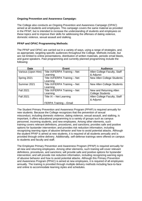#### **Ongoing Prevention and Awareness Campaign:**

The College also conducts an Ongoing Prevention and Awareness Campaign (OPAC) aimed at all students and employees. This campaign covers the same material as provided in the PPAP, but is intended to increase the understanding of students and employees on these topics and to improve their skills for addressing the offenses of dating violence, domestic violence, sexual assault and stalking.

#### **PPAP and OPAC Programming Methods:**

The PPAP and OPAC are carried out in a variety of ways, using a range of strategies, and, as appropriate, targeting specific audiences throughout the College. Methods include, but are not limited to online presentations, distribution of written materials, periodic email blasts, and guest speakers. Past programming and currently planned programming include the following:

| <b>Date</b>         | <b>Event</b>                  | <b>Audience</b>                   |
|---------------------|-------------------------------|-----------------------------------|
| Various (Upon Hire) | Title IX/FERPA Training - Net | Allen College Faculty, Staff      |
|                     | Learning                      | & Adjunct                         |
| Spring 2021         | Title IX/FERPA Training - Net | <b>New Allen College Students</b> |
|                     | Learning                      |                                   |
| Summer 2021         | Title IX/FERPA Training - Net | New Allen College Students        |
|                     | Learning                      |                                   |
| <b>Fall 2021</b>    | Title IX/FERPA Training - Net | New and Returning Allen           |
|                     | Learning                      | <b>College Students</b>           |
| <b>Fall 2021</b>    | Title IX - Net Learning       | Allen College Faculty, Staff      |
|                     |                               | & Adjunct                         |
|                     | FERPA Training - Email        |                                   |

The Student Primary Prevention and Awareness Program (PPAP) is required annually for new students. Because the College recognizes that the prevention of sexual misconduct, including domestic violence, dating violence, sexual assault, and stalking, is important, it offers educational programming to a variety of groups such as campus personnel, incoming students, and new employees. Among other elements, such training covers relevant definitions, procedures, and sanctions; provides safe and positive options for bystander intervention; and provides risk reduction information, including recognizing warning signs of abusive behavior and how to avoid potential attacks. Although the student PPAP is aimed at new students, it is required of all students annually and is provided through online delivery. Additionally, self-defense trainings were offered on campus to students and faculty and staff.

The Employee Primary Prevention and Awareness Program (PPAP) is required annually for all new and returning employees. Among other elements, such training will cover relevant definitions, procedures, and sanctions; will provide safe and positive options for bystander intervention; and will provide risk reduction information, including recognizing warning signs of abusive behavior and how to avoid potential attacks. Although this Primary Prevention and Awareness Program (PPAC) is aimed at new employees, it is required of all employees annually. The training is provided through multiple delivery methods including face-to-face and online to accommodate learning styles and schedules.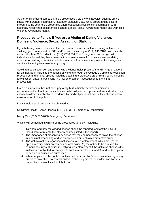As part of its ongoing campaign, the College uses a variety of strategies, such as emails blasts with pertinent information, Facebook campaign, etc. While programming occurs throughout the year, the College also offers educational sessions in coordination with nationally recognized observances such as Sexual Assault Awareness Month and Domestic Violence Awareness Month.

# **Procedures to Follow if You are a Victim of Dating Violence, Domestic Violence, Sexual Assault, or Stalking:**

If you believe you are the victim of sexual assault, domestic violence, dating violence, or stalking, get to safety and call 911 and/or campus security at (319) 240-7189. You may also contact the Title IX Coordinator at (319) 226-2004. The College also encourages all individuals who feel they have been victims of sexual assault, domestic violence, dating violence, or stalking to seek immediate assistance from a medical provider for emergency services, including treatment of any injury.

Seeking medical attention and preserving evidence helps preserve the full range of options for an individual, including the options of working through the College's Complaint Resolution Procedures and/or legal options including obtaining a protective order from a court, pursuing a civil action, and/or participating in a law enforcement investigation and criminal prosecution.

Even if an individual has not been physically hurt, a timely medical examination is recommended so that forensic evidence can be collected and preserved. An individual may choose to allow the collection of evidence by medical personnel even if they choose not to make a report to the police.

Local medical assistance can be obtained at:

UnityPoint Health – Allen Hospital (319) 235-3941 Emergency Department

Mercy One (319) 272-7050 Emergency Department

Victims will be notified in writing of the procedures to follow, including:

- 1. To whom and how the alleged offense should be reported (contact the Title IX Coordinator or refer to the other resources listed in this report).
- 2. The importance of preserving evidence that may be necessary to prove the offense in a criminal proceeding or disciplinary action or to obtain a protective order.
- 3. The victim's options regarding notification to law enforcement, which are: (a) the option to notify either on-campus or local police; (b) the option to be assisted by campus security authorities in notifying law enforcement if the victim so chooses (the institution is obligated to comply with such a request if it is made); and (c) the option to decline to notify such authorities.
- 4. Where applicable, the rights of victims and the institution's responsibilities regarding orders of protection, no-contact orders, restraining orders, or similar lawful orders issued by a criminal, civil, or tribal court.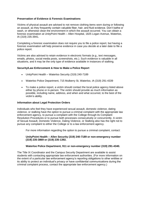#### **Preservation of Evidence & Forensic Examinations**

Victims of physical assault are advised to not remove clothing items worn during or following an assault, as they frequently contain valuable fiber, hair, and fluid evidence. Don't bathe or wash, or otherwise clean the environment in which the assault occurred. You can obtain a forensic examination at UnityPoint Health – Allen Hospital, 1825 Logan Avenue, Waterloo, IA (319) 235-3941.

Completing a forensic examination does not require you to file a police report, but having a forensic examination will help preserve evidence in case you decide at a later date to file a police report.

Victims are also advised to retain evidence in electronic formats (e.g., text messages, emails, photos, social media posts, screenshots, etc.). Such evidence is valuable in all situations, and it may be the only type of evidence available in instances of stalking.

#### **Security/Law Enforcement & How to Make a Police Report**

- UnityPoint Health Waterloo Security (319) 240-7189
- Waterloo Police Department, 715 Mulberry St, Waterloo, IA (319) 291-4339
- To make a police report, a victim should contact the local police agency listed above either by phone or in-person. The victim should provide as much information as possible, including name, address, and when and what occurred, to the best of the victim's ability.

#### **Information about Legal Protection Orders**

Individuals who feel they have experienced sexual assault, domestic violence, dating violence, or stalking have the option to pursue a criminal complaint with the appropriate law enforcement agency, to pursue a complaint with the College through its Complaint Resolution Procedures or to pursue both processes consecutively or concurrently. A victim of Sexual Assault, Domestic Violence, Dating Violence, or Stalking also has the right not to pursue any complaint to either the College or to a law enforcement agency.

For more information regarding the option to pursue a criminal complaint, contact:

#### **UnityPoint Health – Allen Security (319) 240-7189 or non-emergency number (319) 235-3869 or (319) 235-1392.**

#### **Waterloo Police Department, 911 or non-emergency number (319) 291-4340.**

The Title IX Coordinator and the Campus Security Department are available to assist students with contacting appropriate law enforcement authorities. (For more information on the extent of a particular law enforcement agency's reporting obligations to other entities or its ability to protect an individual's privacy or have confidential communications during the criminal complaint process, contact the appropriate law enforcement agency.)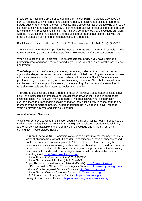In addition to having the option of pursuing a criminal complaint, individuals also have the right to request that law enforcement issue emergency protective restraining orders or to pursue such orders through the court process. The College can assist parties who wish to do so. Individuals who receive emergency or permanent protective or restraining orders through a criminal or civil process should notify the Title IX Coordinator so that the College can work with the individual and the subject of the restraining order to manage compliance with the order on campus. For more information about such orders see:

Black Hawk County Courthouse, 316 East 5<sup>th</sup> Street, Waterloo, IA 50703 (319) 833-3000.

The Iowa Judicial Branch can provide the necessary forms and may assist in completing the forms. Forms may also be found at [https://www.iowacourts.gov/for-the-public/court-forms.](https://www.iowacourts.gov/for-the-public/court-forms)

When a protection order is granted, it is enforceable statewide. If you have obtained a protection order and need it to be enforced in your area, you should contact the local police department.

The College will also enforce any temporary restraining order or other no contact order against the alleged perpetrator from a criminal, civil, or tribal court. Any student or employee who has a protection order or no contact order should notify the Title IX Coordinator and provide a copy of the restraining order so that is may be kept on file with the institution and can be enforced on campus, if necessary. Upon learning of any orders, the institution will take all reasonable and legal action to implement the order.

The College does not issue legal orders of protection. However, as a matter of institutional policy, the institution may impose a no-contact order between individuals in appropriate circumstances. This institution may also issue a "no trespass warning" if information available leads to a reasonable conclusion that an individual is likely to cause harm to any member of the campus community. A person found to be in violation of a No Trespass Warning may be arrested and criminally charged.

#### **Available Victim Services:**

Victims will be provided written notification about existing counseling, health, mental health, victim advocacy, legal assistance, visa and immigration assistance, student financial aid, and other services available to them, both within the College and in the surrounding community. Those services include:

- **Student Financial Aid** Sometimes a victim of a crime may feel the need to take a leave of absence from school. If a student is considering a leave of absence based on the circumstances of a complaint, he/she should understand there may be financial aid implications in taking such leave. This should be discussed with financial aid personnel, and the Title IX Coordinator for your campus can assist in facilitating this conversation if desired. The College's financial aid website can be found at:
- Iowa Legal Aid: <https://www.iowalegalaid.org/>
- National Domestic Violence Hotline: (800) 799-7233
- National Sexual Assault Hotline: (800) 656-4673
- Rape, Abuse and Incest National Network (RAINN):<https://www.rainn.org/>
- US Dept. of Justice Office on Violence Against Women:<https://www.justice.gov/ovw>
- National Coalition Against Domestic Violence:<http://www.ncadv.org/>
- National Sexual Violence Resource Center: <http://www.nsvrc.org/>
- U.S. Citizenship and Immigration Services: <https://www.uscis.gov/>
- Immigration Advocates Network: <https://www.immigrationadvocates.org/>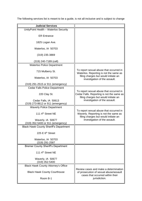The following services list is meant to be a guide, is not all-inclusive and is subject to change

| <b>Judicial Services</b>                                   |                                                                                                                              |
|------------------------------------------------------------|------------------------------------------------------------------------------------------------------------------------------|
| UnityPoint Health - Waterloo Security                      |                                                                                                                              |
| <b>ER Entrance</b>                                         |                                                                                                                              |
| 1825 Logan Ave.                                            |                                                                                                                              |
| Waterloo, IA 50703                                         |                                                                                                                              |
| (319) 235-3869                                             |                                                                                                                              |
| (319) 240-7189 (cell)                                      |                                                                                                                              |
| <b>Waterloo Police Department</b>                          |                                                                                                                              |
| 715 Mulberry St.                                           | To report sexual abuse that occurred in<br>Waterloo. Reporting is not the same as<br>filing charges but would initiate an    |
| Waterloo, IA 50703                                         | investigation of the assault.                                                                                                |
| (319) 291-2515 or 911 (emergency)                          |                                                                                                                              |
| <b>Cedar Falls Police Department</b>                       |                                                                                                                              |
| 220 Clay St.                                               | To report sexual abuse that occurred in<br>Cedar Falls. Reporting is not the same as<br>filing charges but would initiate an |
| Cedar Falls, IA 50613<br>(319) 273-8612 or 911 (emergency) | investigation of the assault.                                                                                                |
| <b>Waverly Police Department</b>                           |                                                                                                                              |
| 111 4 <sup>th</sup> Street NE                              | To report sexual abuse that occurred in<br>Waverly. Reporting is not the same as<br>filing charges but would initiate an     |
| Waverly, IA 50677<br>(319) 352-5400 or 911 (emergency)     | investigation of the assault.                                                                                                |
| <b>Black Hawk County Sheriff's Department</b>              |                                                                                                                              |
| 225 $E$ 6 <sup>th</sup> Street                             |                                                                                                                              |
| Waterloo, IA 50703<br>(319) 291-2587                       |                                                                                                                              |
| <b>Bremer County Sheriff's Department</b>                  |                                                                                                                              |
| 111 4 <sup>th</sup> Street NE                              |                                                                                                                              |
| Waverly, IA 50677<br>(319) 352-5400                        |                                                                                                                              |
| <b>Black Hawk County Attorney's Office</b>                 |                                                                                                                              |
| <b>Black Hawk County Courthouse</b>                        | Review cases and make a determination<br>of prosecution of sexual abuse/assault<br>cases that occurred within their          |
| Room B-1                                                   | jurisdiction.                                                                                                                |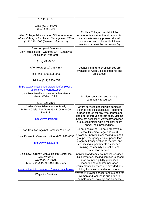| 316 E. 5th St.                                                                                                                           |                                                                                                                                                                                                          |
|------------------------------------------------------------------------------------------------------------------------------------------|----------------------------------------------------------------------------------------------------------------------------------------------------------------------------------------------------------|
| Waterloo, IA 50703<br>(319) 833-3001                                                                                                     |                                                                                                                                                                                                          |
| Allen College Administration Office, Academic<br>Affairs Office, or Enrollment Management Office<br>(319) 226-2000 (General Information) | To file a College complaint if the<br>perpetrator is a student. A victim/survivor<br>can simultaneously pursue criminal<br>prosecution and College disciplinary<br>sanctions against the perpetrator(s). |
| <b>Psychological Services</b>                                                                                                            |                                                                                                                                                                                                          |
| UnityPoint Health - Waterloo EAP (Employee<br>Assistance Program)                                                                        |                                                                                                                                                                                                          |
| $(319)$ 235-3550                                                                                                                         |                                                                                                                                                                                                          |
| After Hours (319) 235-4357                                                                                                               | Counseling and referral services are<br>available to Allen College students and                                                                                                                          |
| Toll Free (800) 303-9996                                                                                                                 | employees.                                                                                                                                                                                               |
| Helpline (319) 235-4357                                                                                                                  |                                                                                                                                                                                                          |
| https://www.unitypoint.org/waterloo/employee-<br>assistance-programs.aspx                                                                |                                                                                                                                                                                                          |
| UnityPoint Health - Waterloo Allen Mental<br><b>Health Walk-In Clinic</b>                                                                | Provide counseling and link with<br>community resources.                                                                                                                                                 |
| (319) 226-2106                                                                                                                           |                                                                                                                                                                                                          |
| Cedar Valley Friends of the Family<br>24 Hour Crisis Line (319) 352-1108 or (800)<br>410-7233                                            | Offers services dealing with domestic<br>violence and sexual assault. Telephone<br>support offered for any type of problem,<br>also offered through collect calls. Victims'                              |
| http://www.fofia.org                                                                                                                     | name not necessary. Advocacy services<br>are in conjunction with a medical exam<br>and/or legal proceedings.                                                                                             |
| Iowa Coalition Against Domestic Violence                                                                                                 | 24-hour crisis line, 24-hour rape/sexual<br>assault medical, legal and court                                                                                                                             |
| lowa Domestic Violence Hotline: (800) 942-0333                                                                                           | advocacy, individual counseling, support<br>groups, emergency cellular phone loan                                                                                                                        |
| http://www.icadv.org                                                                                                                     | program, transportation to medical and<br>counseling appointments as needed,<br>training, community education and<br>prevention services.                                                                |
| Blackhawk-Grundy Mental Health Center Inc.                                                                                               | Individual and family counseling services.                                                                                                                                                               |
| 3251 W 9th St                                                                                                                            | Eligibility for counseling services is based                                                                                                                                                             |
| Waterloo, IA 50702                                                                                                                       | upon county eligibility guidelines,                                                                                                                                                                      |
| (319) 234-2893 or (800) 583-1526                                                                                                         | managed care and/or insurance<br>requirements. Services are provided on a                                                                                                                                |
| www.unitypoint.org/waterloo/mental-health.aspx                                                                                           | sliding fee scale based upon income.                                                                                                                                                                     |
| <b>Waypoint Services</b>                                                                                                                 | Waypoint provides shelter and support for<br>women and families in crisis due to<br>homelessness, poverty, and domestic                                                                                  |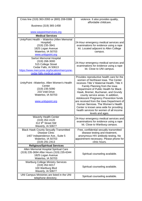| Crisis line (319) 363-2093 or (800) 208-0388                                                                                                                              | violence. It also provides quality,<br>affordable childcare.                                                                                                                                                                                                                                                                                                                                                                                                                                                                    |
|---------------------------------------------------------------------------------------------------------------------------------------------------------------------------|---------------------------------------------------------------------------------------------------------------------------------------------------------------------------------------------------------------------------------------------------------------------------------------------------------------------------------------------------------------------------------------------------------------------------------------------------------------------------------------------------------------------------------|
| Business (319) 365-1458                                                                                                                                                   |                                                                                                                                                                                                                                                                                                                                                                                                                                                                                                                                 |
| www.waypointservices.org                                                                                                                                                  |                                                                                                                                                                                                                                                                                                                                                                                                                                                                                                                                 |
| <b>Medical Services</b>                                                                                                                                                   |                                                                                                                                                                                                                                                                                                                                                                                                                                                                                                                                 |
| UnityPoint Health - Waterloo (Allen Memorial<br>Hospital)<br>$(319)$ 235-3941<br>1825 Logan Avenue<br>Waterloo, IA 50703<br>www.unitypoint.org                            | 24-Hour emergency medical services and<br>examinations for evidence using a rape<br>kit. Located adjacent to Allen College<br>campus.                                                                                                                                                                                                                                                                                                                                                                                           |
| Sartori Memorial Hospital<br>$(319)$ 268-3000<br>515 College Street<br>Cedar Falls, IA 50613<br>https://www.mercyone.org/location/mercyone-<br>cedar-falls-medical-center | 24-Hour emergency medical services and<br>examinations for evidence using a rape<br>kit. Close to UNI campus.                                                                                                                                                                                                                                                                                                                                                                                                                   |
| UnityPoint-Waterloo, Allen Women's Health<br>Center<br>$(319)$ 235-5090<br>233 Vold Drive<br>Waterloo, IA 50703<br>www.unitypoint.org                                     | Provides reproductive health care for the<br>women of Northeast Iowa. The Center<br>receives Title V Maternal Health, Title X<br>Family Planning from the lowa<br>Department of Public Health for Black<br>Hawk, Bremer, Buchanan, and Grundy<br>county service areas. In addition,<br><b>Adolescent Pregnancy Prevention funds</b><br>are received from the lowa Department of<br>Human Services. The Women's Health<br>Center is known area wide for providing<br>health services for women of all income<br>levels and ages. |
| <b>Waverly Health Center</b><br>$(319)$ 352-4120<br>312 9 <sup>th</sup> Street SW<br>Waverly, IA 50677                                                                    | 24-Hour emergency medical services and<br>examinations for evidence using a rape<br>kit. Close to Wartburg campus.                                                                                                                                                                                                                                                                                                                                                                                                              |
| <b>Black Hawk County Sexually Transmitted</b><br><b>Disease Clinic</b><br>1407 Independence Ave., Suite 5<br>Waterloo, IA 50703<br>(319) 291-2413                         | Free, confidential sexually transmitted<br>disease testing and treatment,<br>anonymous HIV antibody testing. No<br>appointment necessary. Please phone for<br>clinic hours.                                                                                                                                                                                                                                                                                                                                                     |
| <b>Religious/Spiritual Services</b>                                                                                                                                       |                                                                                                                                                                                                                                                                                                                                                                                                                                                                                                                                 |
| Allen Memorial Hospital Spiritual Care<br>(319) 235-3694 After Hours (319) 235-6344<br>1825 Logan Avenue<br>Waterloo, IA 50703                                            | Spiritual counseling available.                                                                                                                                                                                                                                                                                                                                                                                                                                                                                                 |
| <b>Wartburg College Ministry Services</b><br>$(319)$ 352-8217<br>100 Wartburg Blvd<br>Waverly, IA 50677                                                                   | Spiritual counseling available.                                                                                                                                                                                                                                                                                                                                                                                                                                                                                                 |
| UNI Campus Ministries are listed in the UNI<br>telephone directory.                                                                                                       | Spiritual counseling available.                                                                                                                                                                                                                                                                                                                                                                                                                                                                                                 |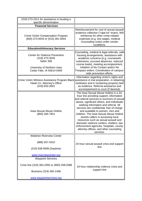| (319) 273-2311 for assistance in locating a<br>specific denomination                                                                          |                                                                                                                                                                                                                                                                                                                                                                                                                                                                                                                                                                                  |  |  |  |  |
|-----------------------------------------------------------------------------------------------------------------------------------------------|----------------------------------------------------------------------------------------------------------------------------------------------------------------------------------------------------------------------------------------------------------------------------------------------------------------------------------------------------------------------------------------------------------------------------------------------------------------------------------------------------------------------------------------------------------------------------------|--|--|--|--|
| <b>Financial Services</b>                                                                                                                     |                                                                                                                                                                                                                                                                                                                                                                                                                                                                                                                                                                                  |  |  |  |  |
| Crime Victim Compensation Program<br>(800) 373-5044 or (515) 281-5044                                                                         | Reimbursement for cost of sexual assault<br>evidence collection ("rape kit" exam). Will<br>reimburse for other crime-related<br>expenses (e.g. lost wages, medical<br>/counseling costs) under certain<br>conditions.                                                                                                                                                                                                                                                                                                                                                            |  |  |  |  |
| <b>Education/Advocacy Services</b>                                                                                                            |                                                                                                                                                                                                                                                                                                                                                                                                                                                                                                                                                                                  |  |  |  |  |
| <b>Center for Violence Prevention</b><br>(319) 273-3545<br>Sabin 309<br>University of Northern Iowa<br>Cedar Falls, IA 50614-0409             | Counseling, medical & legal referrals, safe<br>housing arrangements, assistance with<br>academic concerns (e.g. coursework<br>extensions, excused absences, reduced<br>course loads), meeting accompaniment,<br>initiation of No Contact and/or No<br>Trespass orders. Coordination of campus-<br>wide prevention efforts.                                                                                                                                                                                                                                                       |  |  |  |  |
| Crime Victim Witness Assistance Program Black assistance in trial preparation, in obtaining<br>Hawk Co. Attorney's Office<br>$(319)$ 833-3001 | Information regarding victim's rights and<br>restitution and in reclaiming property held<br>as evidence. Referral assistance and<br>accompaniment to court (if desired).                                                                                                                                                                                                                                                                                                                                                                                                         |  |  |  |  |
| <b>Iowa Sexual Abuse Hotline</b><br>(800) 284-7821                                                                                            | The Iowa Sexual Abuse Hotline is a 24-<br>hour line providing support, information<br>and referral services to survivors of sexual<br>abuse, significant others, and individuals<br>seeking information and referral. All<br>services are confidential, free of charge<br>and available to women, men and<br>children. The Iowa Sexual Abuse Hotline<br>assists callers in accessing local<br>resources such as sexual assault and<br>domestic violence centers, shelters, law<br>enforcement agencies, hospitals, county<br>attorney offices, and other counseling<br>services. |  |  |  |  |
| <b>Waterloo Riverview Center</b>                                                                                                              |                                                                                                                                                                                                                                                                                                                                                                                                                                                                                                                                                                                  |  |  |  |  |
| (888) 557-0310                                                                                                                                | 24-hour sexual assault crisis and support                                                                                                                                                                                                                                                                                                                                                                                                                                                                                                                                        |  |  |  |  |
| (319) 939-9599 (Daytime)                                                                                                                      | line                                                                                                                                                                                                                                                                                                                                                                                                                                                                                                                                                                             |  |  |  |  |
| www.riverviewcenter.org                                                                                                                       |                                                                                                                                                                                                                                                                                                                                                                                                                                                                                                                                                                                  |  |  |  |  |
| <b>Waypoint Services</b>                                                                                                                      |                                                                                                                                                                                                                                                                                                                                                                                                                                                                                                                                                                                  |  |  |  |  |
| Crisis line (319) 363-2093 or (800) 208-0388<br>Business (319) 365-1458                                                                       | 24-hour relationship violence crisis and<br>support line                                                                                                                                                                                                                                                                                                                                                                                                                                                                                                                         |  |  |  |  |
| www.waypointservices.org                                                                                                                      |                                                                                                                                                                                                                                                                                                                                                                                                                                                                                                                                                                                  |  |  |  |  |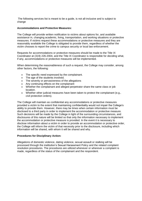The following services list is meant to be a guide, is not all-inclusive and is subject to change

#### **Accommodations and Protective Measures:**

The College will provide written notification to victims about options for, and available assistance in, changing academic, living, transportation, and working situations or protective measures. If victims request these accommodations or protective measures and they are reasonably available the College is obligated to provide them, regardless of whether the victim chooses to report the crime to campus security or local law enforcement.

Requests for accommodations or protective measures should be made to the Title IX Coordinator at (319) 226-2004, and the Title IX Coordinator is responsible for deciding what, if any, accommodations or protective measures will be implemented.

When determining the reasonableness of such a request, the College may consider, among other factors, the following:

- The specific need expressed by the complainant.
- The age of the students involved.
- The severity or pervasiveness of the allegations
- Any continuing effects on the complainant
- Whether the complainant and alleged perpetrator share the same class or job location.
- Whether other judicial measures have been taken to protect the complainant (e.g., civil protection orders).

The College will maintain as confidential any accommodations or protective measures provided a victim to the extent that maintaining confidentiality would not impair the College's ability to provide them. However, there may be times when certain information must be disclosed to a third party in order to implement the accommodation or protective measure. Such decisions will be made by the College in light of the surrounding circumstances, and disclosures of this nature will be limited so that only the information necessary to implement the accommodation or protective measure is provided. In the event it is necessary to disclose information about a victim in order to provide an accommodation or protective order, the College will inform the victim of that necessity prior to the disclosure, including which information will be shared, with whom it will be shared and why.

#### **Procedures for Disciplinary Action:**

Allegations of domestic violence, dating violence, sexual assault or stalking will be processed through the institution's Sexual Harassment Policy and the related complaint resolution procedures. The procedures are utilized whenever or wherever a complaint is made, regardless of the status of the complainant and the respondent.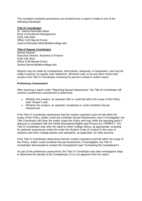The complaint resolution procedures are invoked once a report is made to one of the following individuals:

#### **Title IX Coordinator**

Dr. Joanna Ramsden-Meier Dean of Enrollment Management (319) 226-2004 Office #132 Barrett Forum Joanna.Ramsden-Meier@allencollege.edu

#### **Title IX Deputy Coordinator**

Denise Hanson Executive Director, Business & Finance (319) 226-2012 Office #146 Barrett Forum Denise.Hanson@allencollege.edu

Reports may be made by complainants, third parties, witnesses, or bystanders, and may be made in person, by regular mail, telephone, electronic mail, or by any other means that results in the Title IX Coordinator receiving the person's verbal or written report.

#### **Preliminary Assessment**

After receiving a report under "Reporting Sexual Harassment," the Title IX Coordinator will conduct a preliminary assessment to determine:

- Whether the conduct, as reported, falls or could fall within the scope of this Policy (see "Scope"); and
- Whether the conduct, as reported, constitutes or could constitute Sexual Harassment.

If the Title IX Coordinator determines that the conduct reported could not fall within the scope of this Policy, and/or could not constitute Sexual Harassment, even if investigated, the Title Coordinator will close the matter under this Policy and may notify the reporting party if doing so is consistent with the Family Educational Rights and Privacy Act ("FERPA"). The Title IX Coordinator may refer the report to other College offices, as appropriate, including for potential assessment under the under the Student Code of Conduct in the case of students and other College policies and standards, as applicable, for other persons.

If the Title IX Coordinator determines that the conduct reported could fall within the scope of this Policy, and/or could constitute Sexual Harassment, if investigated, the Title IX Coordinator will proceed to contact the Complainant (see "Contacting the Complainant").

As part of the preliminary assessment, the Title IX Coordinator may take investigative steps to determine the identity of the Complainant, if it is not apparent from the report.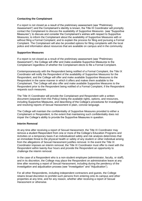#### **Contacting the Complainant**

If a report is not closed as a result of the preliminary assessment (see "Preliminary Assessment") and the Complainant's identity is known, the Title IX Coordinator will promptly contact the Complainant to discuss the availability of Supportive Measures (see "Supportive Measures"); to discuss and consider the Complainant's wishes with respect to Supportive Measures; to inform the Complainant about the availability of Supportive Measures with or without filing a Formal Complaint; and to explain the process for filing and pursuing a Formal Complaint. The Complainant will also be provided options for filing complaints with the local police and information about resources that are available on campus and in the community.

#### **Supportive Measures**

If a report is not closed as a result of the preliminary assessment (see "Preliminary Assessment"), the College will offer and make available Supportive Measures to the Complainant regardless of whether the Complainant elects to file a Formal Complaint.

Contemporaneously with the Respondent being notified of a Formal Complaint, the Title IX Coordinator will notify the Respondent of the availability of Supportive Measures for the Respondent, and the College will offer and make available Supportive Measures to the Respondent in the same manner in which it offers and makes them available to the Complainant. The College will also offer and make available Supportive Measures to the Respondent prior to the Respondent being notified of a Formal Complaint, if the Respondent requests such measures.

The Title IX Coordinator will provide the Complainant and Respondent with a written document (separate from this Policy) listing the available rights, options, and resources, including Supportive Measures, and describing of the College's procedures for investigating and resolving reports of Sexual Harassment in plain, concise language.

The College will maintain the confidentiality of Supportive Measures provided to either a Complainant or Respondent, to the extent that maintaining such confidentiality does not impair the College's ability to provide the Supportive Measures in question.

#### **Interim Removal**

At any time after receiving a report of Sexual Harassment, the Title IX Coordinator may remove a student Respondent from one or more of the College's Education Programs and Activities on a temporary basis if an individualized safety and risk analysis determines that an immediate threat to the physical health or safety of any student or other individual arising from the allegations of Sexual Harassment justifies removal. In the event the Title IX Coordinator imposes an interim removal, the Title IX Coordinator must offer to meet with the Respondent within twenty-four hours and provide the Respondent an opportunity to challenge the interim removal.

In the case of a Respondent who is a non-student employee (administrator, faculty, or staff), and in its discretion, the College may place the Respondent on administrative leave at any time after receiving a report of Sexual Harassment, including during the pendency of the investigation and adjudication process (see "Investigation" and "Adjudication").

For all other Respondents, including independent contractors and guests, the College retains broad discretion to prohibit such persons from entering onto its campus and other properties at any time, and for any reason, whether after receiving a report of Sexual Harassment or otherwise.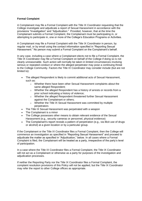#### **Formal Complaint**

A Complainant may file a Formal Complaint with the Title IX Coordinator requesting that the College investigate and adjudicate a report of Sexual Harassment in accordance with the provisions "Investigation" and "Adjudication." Provided, however, that at the time the Complainant submits a Formal Complaint, the Complainant must be participating in, or attempting to participate in, one or more of the College's Education Programs or Activities.

A Complainant may file a Formal Complaint with the Title IX Coordinator in person, by regular mail, or by email using the contact information specified in "Reporting Sexual Harassment." No person may submit a Formal Complaint on the Complainant's behalf.

In any case, including a case where a Complainant elects not to file a Formal Complaint, the Title IX Coordinator may file a Formal Complaint on behalf of the College if doing so is not clearly unreasonable. Such action will normally be taken in limited circumstances involving serious or repeated conduct or where the alleged perpetrator may pose a continuing threat to the College Community. Factors the Title IX Coordinator may consider include (but are not limited to):

- The alleged Respondent is likely to commit additional acts of Sexual Harassment, such as:
	- $\circ$  Whether there have been other Sexual Harassment complaints about the same alleged Respondent;
	- o Whether the alleged Respondent has a history of arrests or records from a prior school indicating a history of violence;
	- o Whether the alleged Respondent threatened further Sexual Harassment against the Complainant or others;
	- o Whether the Title IX Sexual Harassment was committed by multiple perpetrators
- The Title IX Sexual Harassment was perpetrated with a weapon
- The Complainant is a minor
- The College possesses other means to obtain relevant evidence of the Sexual Harassment (e.g., security cameras or personnel, physical evidence)
- The Complainant's report reveals a pattern of perpetration (e.g., via illicit use of drugs or alcohol) at a given location or by a particular group.

If the Complainant or the Title IX Coordinator files a Formal Complaint, then the College will commence an investigation as specified in "Reporting Sexual Harassment" and proceed to adjudicate the matter as specified in "Adjudication," below. In all cases where a Formal Complaint is filed, the Complainant will be treated as a party, irrespective of the party's level of participation.

In a case where the Title IX Coordinator files a Formal Complaint, the Title IX Coordinator will not act as a Complainant or otherwise as a party for purposes of the investigation and adjudication processes.

If neither the Reporting Party nor the Title IX Coordinator files a Formal Complaint, the complaint resolution provisions of this Policy will not be applied, but the Title IX Coordinator may refer the report to other College offices as appropriate.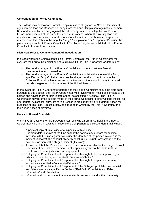#### **Consolidation of Formal Complaints**

The College may consolidate Formal Complaints as to allegations of Sexual Harassment against more than one Respondent, or by more than one Complainant against one or more Respondents, or by one party against the other party, where the allegations of Sexual Harassment arise out of the same facts or circumstances. Where the investigation and adjudication process involve more than one Complainant or more than one Respondent, references in this Policy to the singular "party," "Complainant," or "Respondent" include the plural, as applicable. A Formal Complaint of Retaliation may be consolidated with a Formal Complaint of Sexual Harassment.

#### **Dismissal Prior to Commencement of Investigation**

In a case where the Complainant files a Formal Complaint, the Title IX Coordinator will evaluate the Formal Complaint and must dismiss it if the Title IX Coordinator determines:

- The conduct alleged in the Formal Complaint would not constitute Sexual Harassment, even if proved; or
- The conduct alleged in the Formal Complaint falls outside the scope of the Policy specified in "Scope" (that is, because the alleged conduct did not occur in the College's Education Programs and Activities and/or the alleged conduct occurred outside the geographic boundaries of the United States).

In the event the Title IX Coordinator determines the Formal Complaint should be dismissed pursuant to this Section, the Title IX Coordinator will provide written notice of dismissal to the parties and advise them of their right to appeal as specified in "Appeal." The Title IX Coordinator may refer the subject matter of the Formal Complaint to other College offices, as appropriate. A dismissal pursuant to this Section is presumptively a final determination for purposes of this Policy, unless otherwise specified in writing by the Title IX Coordinator in the written notice of dismissal.

#### **Notice of Formal Complaint**

Within five (5) days of the Title IX Coordinator receiving a Formal Complaint, the Title IX Coordinator will transmit a written notice to the Complainant and Respondent that includes:

- A physical copy of this Policy or a hyperlink to this Policy;
- Sufficient details known at the time so that the parties may prepare for an initial interview with the investigator, to include the identities of the parties involved in the incident (if known), the conduct allegedly constituting Sexual Harassment, and the date and location of the alleged incident (if known);
- A statement that the Respondent is presumed not responsible for the alleged Sexual Harassment and that a determination of responsibility will not be made until the conclusion of the adjudication and any appeal;
- Notifying the Complainant and Respondent of their right to be accompanied by an advisor of their choice, as specified in "Advisor of Choice."
- Notifying the Complainant and Respondent of their right to inspect and review evidence as specified in "Access to Evidence."
- Notifying the Complainant and Respondent of the College's prohibitions on retaliation and false statements specified in Sections "Bad Faith Complaints and False Information" and "Retaliation."
- Information about resources that are available on campus and in the community.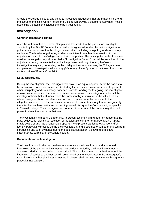Should the College elect, at any point, to investigate allegations that are materially beyond the scope of the initial written notice, the College will provide a supplemental written notice describing the additional allegations to be investigated.

# **Investigation**

#### **Commencement and Timing**

After the written notice of Formal Complaint is transmitted to the parties, an investigator selected by the Title IX Coordinator or his/her designee will undertake an investigation to gather evidence relevant to the alleged misconduct, including inculpatory and exculpatory evidence. The burden of gathering evidence sufficient to reach a determination in the adjudication lies with the College and not with the parties. The investigation will culminate in a written investigation report, specified in "Investigation Report," that will be submitted to the adjudicator during the selected adjudication process. Although the length of each investigation may vary depending on the totality of the circumstances, the College strives to complete each investigation within thirty (30) to forty-five (45) days of the transmittal of the written notice of Formal Complaint.

#### **Equal Opportunity**

During the investigation, the investigator will provide an equal opportunity for the parties to be interviewed, to present witnesses (including fact and expert witnesses), and to present other inculpatory and exculpatory evidence. Notwithstanding the foregoing, the investigator retains discretion to limit the number of witness interviews the investigator conducts if the investigator finds that testimony would be unreasonably cumulative, if the witnesses are offered solely as character references and do not have information relevant to the allegations at issue, or if the witnesses are offered to render testimony that is categorically inadmissible, such as testimony concerning sexual history of the Complainant, as specified in "Sexual History." The investigator will not restrict the ability of the parties to gather and present relevant evidence on their own.

The investigation is a party's opportunity to present testimonial and other evidence that the party believes is relevant to resolution of the allegations in the Formal Complaint. A party that is aware of and has a reasonable opportunity to present particular evidence and/or identify particular witnesses during the investigation, and elects not to, will be prohibited from introducing any such evidence during the adjudication absent a showing of mistake, inadvertence, surprise, or excusable neglect.

#### **Documentation of Investigation**

The investigator will take reasonable steps to ensure the investigation is documented. Interviews of the parties and witnesses may be documented by the investigator's notes, audio recorded, video recorded, or transcribed. The particular method utilized to record the interviews of parties and witnesses will determined by the investigator in the investigator's sole discretion, although whatever method is chosen shall be used consistently throughout a particular investigation.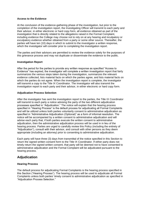#### **Access to the Evidence**

At the conclusion of the evidence-gathering phase of the investigation, but prior to the completion of the investigation report, the Investigating Officer will transmit to each party and their advisor, in either electronic or hard copy form, all evidence obtained as part of the investigation that is directly related to the allegations raised in the Formal Complaint, including evidence the College may choose not to rely on at any hearing and inculpatory or exculpatory evidence whether obtained from a party or some other source. Thereafter, the parties will have ten (10) days in which to submit to the investigator a written response, which the investigator will consider prior to completing the investigation report.

The parties and their advisors are permitted to review the evidence solely for the purposes of this grievance process and may not duplicate or disseminate the evidence to the public.

#### **Investigation Report**

After the period for the parties to provide any written response as specified "Access to Evidence" has expired, the investigator will complete a written investigation report that fairly summarizes the various steps taken during the investigation, summarizes the relevant evidence collected, lists material facts on which the parties agree, and lists material facts on which the parties do not agree. When the investigation report is complete, the investigator will transmit a copy to the Title IX Coordinator. The investigator will also transmit the investigation report to each party and their advisor, in either electronic or hard copy form.

#### **Adjudication Process Selection**

After the investigator has sent the investigation report to the parties, the Title IX Coordinator will transmit to each party a notice advising the party of the two different adjudication processes specified in "Adjudication." The notice will explain that the hearing process specified in "Hearing Process" is the default process for adjudicating all Formal Complaints and will be utilized unless both parties voluntarily consent to administrative adjudication as specified in "Administrative Adjudication (Optional)" as a form of informal resolution. The notice will be accompanied by a written consent to administrative adjudication and will advise each party that, if both parties execute the written consent to administrative adjudication, then the administrative adjudication process will be used in in lieu of the hearing process. Parties are urged to carefully review this Policy (including the entirety of "Adjudication"), consult with their advisor, and consult with other persons as they deem appropriate (including an attorney) prior to consenting to administrative adjudication.

Each party will have three (3) days from transmittal of the notice specified in this Section to return the signed written consent form to the Title IX Coordinator. If either party does not timely return the signed written consent, that party will be deemed not to have consented to administrative adjudication and the Formal Complaint will be adjudicated pursuant to the hearing process.

# **Adjudication**

#### **Hearing Process**

The default process for adjudicating Formal Complaints is the hearing process specified in this Section ("Hearing Process"). The hearing process will be used to adjudicate all Formal Complaints unless both parties' timely consent to administrative adjudication as specified in "Adjudication Process Selection."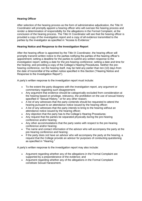#### **Hearing Officer**

After selection of the hearing process as the form of administrative adjudication, the Title IX Coordinator will promptly appoint a hearing officer who will oversee the hearing process and render a determination of responsibility for the allegations in the Formal Complaint, at the conclusion of the hearing process. The Title IX Coordinator will see that the hearing officer is provided a copy of the investigation report and a copy of all evidence transmitted to the parties by the investigator as specified in "Access to Evidence."

#### **Hearing Notice and Response to the Investigation Report**

After the hearing officer is appointed by the Title IX Coordinator, the hearing officer will promptly transmit written notice to the parties notifying the parties of the hearing officer's appointment; setting a deadline for the parties to submit any written response to the investigation report; setting a date for the pre-hearing conference; setting a date and time for the hearing; and providing a copy of the College's Hearing Procedures. Neither the prehearing conference, nor the hearing itself, may be held any earlier than ten (10) days from the date of transmittal of the written notice specified in this Section ("Hearing Notice and Response to the Investigation Report").

A party's written response to the investigation report must include:

- To the extent the party disagrees with the investigation report, any argument or commentary regarding such disagreement;
- Any argument that evidence should be categorically excluded from consideration at the hearing based on privilege, relevancy, the prohibition on the use of sexual history specified in "Sexual History," or for any other reason;
- A list of any witnesses that the party contends should be requested to attend the hearing pursuant to an attendance notice issued by the hearing officer;
- A list of any witnesses that the party intends to bring to the hearing without an attendance notice issued by the hearing officer;
- Any objection that the party has to the College's Hearing Procedures;
- Any request that the parties be separated physically during the pre-hearing conference and/or hearing;
- Any other accommodations that the party seeks with respect to the pre-hearing conference and/or hearing;
- The name and contact information of the advisor who will accompany the party at the pre-hearing conference and hearing;
- If the party does not have an advisor who will accompany the party at the hearing, a request that the College provide an advisor for purposes of conducting questioning as specified in "Hearing."

A party's written response to the investigation report may also include:

- Argument regarding whether any of the allegations in the Formal Complaint are supported by a preponderance of the evidence; and
- Argument regarding whether any of the allegations in the Formal Complaint constitute Sexual Harassment.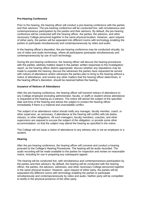#### **Pre-Hearing Conference**

Prior to the hearing, the hearing officer will conduct a pre-hearing conference with the parties and their advisors. The pre-hearing conference will be conducted live, with simultaneous and contemporaneous participation by the parties and their advisors. By default, the pre-hearing conference will be conducted with the hearing officer, the parties, the advisors, and other necessary College personnel together in the same physical location. However, upon request of either party, the parties will be separated into different rooms with technology enabling the parties to participate simultaneously and contemporaneously by video and audio.

In the hearing officer's discretion, the pre-hearing conference may be conducted virtually, by use of video and audio technology, where all participants participate simultaneously and contemporaneously by use of such technology.

During the pre-hearing conference, the hearing officer will discuss the hearing procedures with the parties; address matters raised in the parties' written responses to the investigation report, as the hearing officer deems appropriate; discuss whether any stipulations may be made to expedite the hearing; discuss the witnesses the parties have requested be served with notices of attendance and/or witnesses the parties plan to bring to the hearing without a notice of attendance; and resolve any other matters that the hearing officer determines, in the hearing officer's discretion, should be resolved before the hearing.

#### **Issuance of Notices of Attendance**

After the pre-hearing conference, the hearing officer will transmit notices of attendance to any College employee (including administrator, faculty, or staff) or student whose attendance is requested at the hearing as a witness. The notice will advise the subject of the specified date and time of the hearing and advise the subject to contact the hearing officer immediately if there is a material and unavoidable conflict.

The subject of an attendance notice should notify any manager, faculty member, coach, or other supervisor, as necessary, if attendance at the hearing will conflict with job duties, classes, or other obligations. All such managers, faculty members, coaches, and other supervisors are required to excuse the subject of the obligation, or provide some other accommodation, so that the subject may attend the hearing as specified in the notice.

The College will not issue a notice of attendance to any witness who is not an employee or a student.

#### **Hearing**

After the pre-hearing conference, the hearing officer will convene and conduct a hearing pursuant to the College's Hearing Procedures. The hearing will be audio recorded. The audio recording will be made available to the parties for inspection and review on reasonable notice, including for use in preparing any subsequent appeal.

The hearing will be conducted live, with simultaneous and contemporaneous participation by the parties and their advisors. By default, the hearing will be conducted with the hearing officer, the parties, the advisors, witnesses, and other necessary College personnel together in the same physical location. However, upon request of either party, the parties will be separated into different rooms with technology enabling the parties to participate simultaneously and contemporaneously by video and audio. Neither party will be compelled to testify in the physical presence of the other party.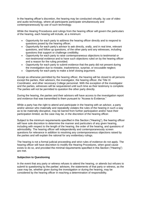In the hearing officer's discretion, the hearing may be conducted virtually, by use of video and audio technology, where all participants participate simultaneously and contemporaneously by use of such technology.

While the Hearing Procedures and rulings from the hearing officer will govern the particulars of the hearing, each hearing will include, at a minimum:

- Opportunity for each party to address the hearing officer directly and to respond to questions posed by the hearing officer;
- Opportunity for each party's advisor to ask directly, orally, and in real time, relevant questions, and follow up questions, of the other party and any witnesses, including questions that support or challenge credibility;
- Opportunity for each party to raise contemporaneous objections to testimonial or non-testimonial evidence and to have such objections ruled on by the hearing officer and a reason for the ruling provided;
- Opportunity for each party to submit evidence that the party did not present during the investigation due to mistake, inadvertence, surprise, or excusable neglect;
- Opportunity for each party to make a brief closing argument.

Except as otherwise permitted by the hearing officer, the hearing will be closed to all persons except the parties, their advisors, the investigator, the hearing officer, the Title IX Coordinator, and other necessary College personnel. With the exception of the investigator and the parties, witnesses will be sequestered until such time as their testimony is complete. The parties will not be permitted to question the other party directly.

During the hearing, the parties and their advisors will have access to the investigation report and evidence that was transmitted to them pursuant to "Access to Evidence."

While a party has the right to attend and participate in the hearing with an advisor, a party and/or advisor who materially and repeatedly violates the rules of the hearing in such a way as to be materially disruptive, may be barred from further participation and/or have their participation limited, as the case may be, in the discretion of the hearing officer.

Subject to the minimum requirements specified in this Section ("Hearing"), the hearing officer will have sole discretion to determine the manner and particulars of any given hearing. including with respect to the length of the hearing, the order of the hearing, and questions of admissibility. The hearing officer will independently and contemporaneously screen questions for relevance in addition to resolving any contemporaneous objections raised by the parties and will explain the rational for any evidentiary rulings.

The hearing is not a formal judicial proceeding and strict rules of evidence do not apply. The hearing officer will have discretion to modify the Hearing Procedures, when good cause exists to do so, and provided the minimal requirements specified in this Section ("Hearing") are met.

#### **Subjection to Questioning**

In the event that any party or witness refuses to attend the hearing, or attends but refuses to submit to questioning by the parties' advisors, the statements of that party or witness, as the case may be, whether given during the investigation or during the hearing, may be considered by the hearing officer in reaching a determination of responsibility.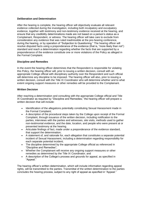#### **Deliberation and Determination**

After the hearing is complete, the hearing officer will objectively evaluate all relevant evidence collected during the investigation, including both inculpatory and exculpatory evidence, together with testimony and non-testimony evidence received at the hearing, and ensure that any credibility determinations made are not based on a person's status as a Complainant, Respondent, or witness. The hearing officer will take care to exclude from consideration any evidence that was ruled inadmissible at the pre-hearing conference, during the hearing, or by operation of "Subjection to Questioning." The hearing officer will resolve disputed facts using a preponderance of the evidence (that is, "more likely than not") standard and reach a determination regarding whether the facts that are supported by a preponderance of the evidence constitute one or more violations of the Policy as alleged in the Formal Complaint.

#### **Discipline and Remedies**

In the event the hearing officer determines that the Respondent is responsible for violating this Policy, the hearing officer will, prior to issuing a written decision, consult with an appropriate College official with disciplinary authority over the Respondent and such official will determine any discipline to be imposed. The hearing officer will also, prior to issuing a written decision, consult with the Title IX Coordinator who will determine whether and to what extent ongoing support measures or other remedies will be provided to the Complainant.

#### **Written Decision**

After reaching a determination and consulting with the appropriate College official and Title IX Coordinator as required by "Discipline and Remedies," the hearing officer will prepare a written decision that will include:

- Identification of the allegations potentially constituting Sexual Harassment made in the Formal Complaint;
- A description of the procedural steps taken by the College upon receipt of the Formal Complaint, through issuance of the written decision, including notification to the parties, interviews with the parties and witnesses, site visits, methods used to gather non-testimonial evidence, and the date, location, and people who were present at or presented testimony at the hearing.
- Articulate findings of fact, made under a preponderance of the evidence standard, that support the determination;
- A statement of, and rationale for, each allegation that constitutes a separate potential incident of Sexual Harassment, including a determination regarding responsibility for each separate potential incident;
- The discipline determined by the appropriate College official as referenced in "Discipline and Remedies";
- Whether the Complainant will receive any ongoing support measures or other remedies as determined by the Title IX Coordinator; and
- A description of the College's process and grounds for appeal, as specified in "Appeal."

The hearing officer's written determination, which will include information regarding appeal rights, will be transmitted to the parties. Transmittal of the written determination to the parties concludes the hearing process, subject to any right of appeal as specified in "Appeal."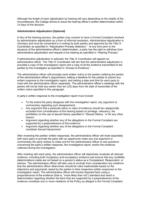Although the length of each adjudication by hearing will vary depending on the totality of the circumstances, the College strives to issue the hearing officer's written determination within 14 days of the decision.

#### **Administrative Adjudication (Optional)**

In lieu of the hearing process, the parties may consent to have a Formal Complaint resolved by administrative adjudication as a form of informal resolution. Administrative adjudication is voluntary and must be consented to in writing by both parties and approved by the Title IX Coordinator as specified in "Adjudication Process Selection." At any time prior to the issuance of the administrative officer's determination, a party has the right to withdraw from administrative adjudication and request a live hearing as specified in "Hearing Process."

If administrative adjudication is selected, the Title IX Coordinator will appoint an administrative officer. The Title IX Coordinator will see that the administrative adjudicator is provided a copy of the investigation report and a copy of all the evidence transmitted to the parties by the investigator as specified in "Access to Evidence."

The administrative officer will promptly send written notice to the parties notifying the parties of the administrative officer's appointment; setting a deadline for the parties to submit any written response to the investigation report; and setting a date and time for each party to meet with the administrative officer separately. The administrative officer's meetings with the parties will not be held any earlier than ten (10) days from the date of transmittal of the written notice specified in this paragraph.

A party's written response to the investigation report must include:

- To the extent the party disagrees with the investigation report, any argument or commentary regarding such disagreement;
- Any argument that a particular piece or class of evidence should be categorically excluded from consideration at the hearing based on privilege, relevancy, the prohibition on the use of sexual history specified in "Sexual History," or for any other reason;
- Argument regarding whether any of the allegations in the Formal Complaint are supported by a preponderance of the evidence;
- Argument regarding whether any of the allegations in the Formal Complaint constitute Sexual Harassment.

After reviewing the parties' written responses, the administrative officer will meet separately with each party to provide the party with an opportunity make any oral argument or commentary the party wishes to make and for the administrative officer to ask questions concerning the party's written response, the investigative report, and/or the evidence collected during the investigation.

After meeting with each party, the administrative officer will objectively revaluate all relevant evidence, including both inculpatory and exculpatory evidence and ensure that any credibility determinations made are not based on a person's status as a Complainant, Respondent, or witness. The administrative officer will take care to exclude from consideration any evidence that the administrative officer determines should be ruled inadmissible based on the objections and arguments raised by the parties in their respective written responses to the investigation report. The administrative officer will resolve disputed facts using a preponderance of the evidence (that is, "more likely than not") standard and reach a determination regarding whether the facts that are supported by a preponderance of the evidence constitute one or more violations of the Policy as alleged in the Formal Complaint.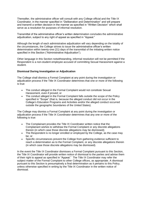Thereafter, the administrative officer will consult with any College official and the Title IX Coordinator, in the manner specified in "Deliberation and Determination" and will prepare and transmit a written decision in the manner as specified in "Written Decision" which shall serve as a resolution for purposes of informal resolution.

Transmittal of the administrative officer's written determination concludes the administrative adjudication, subject to any right of appeal as specified in "Appeal."

Although the length of each administrative adjudication will vary depending on the totality of the circumstances, the College strives to issue the administrative officer's written determination within twenty-one (21) days of the transmittal of the initiating written notice specified in this Section ("Administrative Adjudication").

Other language in this Section notwithstanding, informal resolution will not be permitted if the Respondent is a non-student employee accused of committing Sexual Harassment against a student.

#### **Dismissal During Investigation or Adjudication**

The College shall dismiss a Formal Complaint at any point during the investigation or adjudication process if the Title IX Coordinator determines that one or more of the following is true:

- The conduct alleged in the Formal Complaint would not constitute Sexual Harassment, even if proved; or
- The conduct alleged in the Formal Complaint falls outside the scope of the Policy specified in "Scope" (that is, because the alleged conduct did not occur in the College's Education Programs and Activities and/or the alleged conduct occurred outside the geographic boundaries of the United States).

The College may dismiss a Formal Complaint at any point during the investigation or adjudication process if the Title IX Coordinator determines that any one or more of the following is true:

- The Complainant provides the Title IX Coordinator written notice that the Complainant wishes to withdraw the Formal Complaint or any discrete allegations therein (in which case those discrete allegations may be dismissed);
- The Respondent is no longer enrolled or employed by the College, as the case may be; or
- Specific circumstances prevent the College from gathering evidence sufficient to reach a determination as to the Formal Complaint, or any discrete allegations therein (in which case those discrete allegations may be dismissed).

In the event the Title IX Coordinator dismisses a Formal Complaint pursuant to this Section, the Title IX Coordinator will provide written notice of dismissal to the parties and advise them of their right to appeal as specified in "Appeal." The Title IX Coordinator may refer the subject matter of the Formal Complaint to other College offices, as appropriate. A dismissal pursuant to this Section is presumptively a final determination as it pertains to this Policy, unless otherwise specified in writing by the Title IX Coordinator in the written notice of dismissal.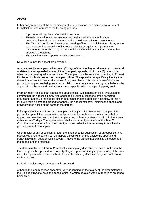#### **Appeal**

Either party may appeal the determination of an adjudication, or a dismissal of a Formal Complaint, on one or more of the following grounds:

- A procedural irregularity affected the outcome;
- There is new evidence that was not reasonably available at the time the determination or dismissal was made, that could have affected the outcome;
- The Title IX Coordinator, investigator, hearing officer, or administrative officer, as the case may be, had a conflict of interest or bias for or against complainants or respondents generally, or against the individual Complainant or Respondent, that affected the outcome.
- The sanction is disproportionate with the outcome.

No other grounds for appeal are permitted.

A party must file an appeal within seven (7) days of the date they receive notice of dismissal or determination appealed from or, if the other party appeals, within thee (3) days of the other party appealing, whichever is later. The appeal must be submitted in writing to Provost, Dr. Robert Loch who serves as the appeal officer. The appeal must specifically identify the determination and/or dismissal appealed from, articulate which one or more of the three grounds for appeal are being asserted, explain in detail why the appealing party believes the appeal should be granted, and articulate what specific relief the appealing party seeks.

Promptly upon receipt of an appeal, the appeal officer will conduct an initial evaluation to confirm that the appeal is timely filed and that it invokes at least one of the permitted grounds for appeal. If the appeal officer determines that the appeal is not timely, or that it fails to invoke a permitted ground for appeal, the appeal officer will dismiss the appeal and provide written notice of the same to the parties.

If the appeal officer confirms that the appeal is timely and invokes at least one permitted ground for appeal, the appeal officer will provide written notice to the other party that an appeal has been filed and that the other party may submit a written opposition to the appeal within seven (7) days. The appeal officer shall also promptly obtain from the Title IX Coordinator any records from the investigation and adjudication necessary to resolve the grounds raised in the appeal.

Upon receipt of any opposition, or after the time period for submission of an opposition has passed without one being filed, the appeal officer will promptly decide the appeal and transmit a written decision within seven (7) days to the parties that explains the outcome of the appeal and the rationale.

The determination of a Formal Complaint, including any discipline, becomes final when the time for appeal has passed with no party filing an appeal or, if any appeal is filed, at the point when the appeal officer has resolved all appeals, either by dismissal or by transmittal of a written decision.

No further review beyond the appeal is permitted.

Although the length of each appeal will vary depending on the totality of the circumstances, the College strives to issue the appeal officer's written decision within (21) days of an appeal being filed.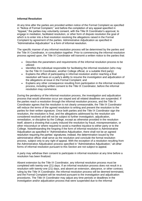#### **Informal Resolution**

At any time after the parties are provided written notice of the Formal Complaint as specified in "Notice of Formal Complaint," and before the completion of any appeal specified in "Appeal," the parties may voluntarily consent, with the Title IX Coordinator's approval, to engage in mediation, facilitated resolution, or other form of dispute resolution the goal of which is to enter into a final resolution resolving the allegations raised in the Formal Complaint by agreement of the parties. Administrative Adjudication as specified in "Administrative Adjudication" is a form of informal resolution.

The specific manner of any informal resolution process will be determined by the parties and the Title IX Coordinator, in consultation together. Prior to commencing the informal resolution process agreed upon, the Title IX Coordinator will transmit a written notice to the parties that:

- Describes the parameters and requirements of the informal resolution process to be utilized:
- Identifies the individual responsible for facilitating the informal resolution (who may be the Title IX Coordinator, another College official, or a suitable third party):
- Explains the effect of participating in informal resolution and/or reaching a final resolution will have on a party's ability to resume the investigation and adjudication of the allegations at issue in the Formal Complaint; and
- Explains any other consequence resulting from participation in the informal resolution process, including written consent to the Title IX Coordinator, before the informal resolution may commence.

During the pendency of the informal resolution process, the investigation and adjudication process that would otherwise occur are stayed and all related deadlines are suspended. If the parties reach a resolution through the informal resolution process, and the Title IX Coordinator agrees that the resolution is not clearly unreasonable, the Title IX Coordinator will reduce the terms of the agreed resolution to writing and present the resolution to the parties for their written signature. Once both parties and the Title IX Coordinator sign the resolution, the resolution is final, and the allegations addressed by the resolution are considered resolved and will not be subject to further investigation, adjudication, remediation, or discipline by the College, except as otherwise provided in the resolution itself, absent a showing that a party induced the resolution by fraud, misrepresentation, or other misconduct or where required to avoid a manifest injustice to either party or to the College. Notwithstanding the forgoing if the form of informal resolution is Administrative Adjudication as specified in "Administrative Adjudication, there shall not be an agreed resolution requiring the parties' signatures; instead, the determination issued by the administrative officer shall serve as the resolution and conclude the formal resolution process, subject only to any right of appeal. With the exception of a resolution resulting from the Administrative Adjudication process specified in "Administrative Adjudication," all other forms of informal resolution pursuant to this Section are not subject to appeal.

A party may withdraw their consent to participate in informal resolution at any time before a resolution has been finalized.

Absent extension by the Title IX Coordinator, any informal resolution process must be completed with twenty-one (21) days. If an informal resolution process does not result in a resolution with twenty-one (21) days, and absent an extension, abeyance, or other contrary ruling by the Title IX Coordinator, the informal resolution process will be deemed terminated, and the Formal Complaint will be resolved pursuant to the investigation and adjudication procedures. The Title IX Coordinator may adjust any time periods or deadlines in the investigation and/or adjudication process that were suspended due to the informal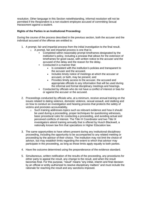resolution. Other language in this Section notwithstanding, informal resolution will not be permitted if the Respondent is a non-student employee accused of committing Sexual Harassment against a student.

#### **Rights of the Parties in an Institutional Proceeding:**

During the course of the process described in the previous section, both the accuser and the individual accused of the offense are entitled to:

- 1. A prompt, fair and impartial process from the initial investigation to the final result.  $\circ$  A prompt, fair and impartial process is one that is:
	- Completed within reasonably prompt timeframes designated by the institution's policy, including a process that allows for the extension of timeframes for good cause, with written notice to the accuser and the accused of the delay and the reason for the delay.
	- Conducted in a manner that:
		- Is consistent with the institution's policies and transparent to the accuser and the accused.
		- Includes timely notice of meetings at which the accuser or accused, or both, may be present; and
		- Provides timely access to the accuser, the accused and appropriate officials to any information that will be used during the informal and formal disciplinary meetings and hearings.
	- Conducted by officials who do not have a conflict of interest or bias for or against the accuser or the accused.
- 2. Proceedings conducted by officials who, at a minimum, receive annual training on the issues related to dating violence, domestic violence, sexual assault, and stalking and on how to conduct an investigation and hearing process that protects the safety of victims and promotes accountability.
	- o Such training addresses topics such as relevant evidence and how it should be used during a proceeding, proper techniques for questioning witnesses, basic procedural rules for conducting a proceeding, and avoiding actual and perceived conflicts of interest. The Title IX Coordinator and two Title IX investigators attend training annually that is offered by Husch Blackwell, a nationally known law firm that specializes in Higher Education law.
- 3. The same opportunities to have others present during any institutional disciplinary proceeding, including the opportunity to be accompanied to any related meeting or proceeding by the advisor of their choice. The institution may not limit the choice of advisor, but may establish limits regarding the extent to which that advisor may participate in the proceeding, as long as those limits apply equally to both parties.
- 4. Have the outcome determined using the preponderance of the evidence standard.
- 5. Simultaneous, written notification of the results of the proceeding, any procedures for either party to appeal the result, any change to the result, and when the result becomes final. For this purpose, "result" means "any initial, interim and final decision by an official or entity authorized to resolve disciplinary matters" and must include the rationale for reaching the result and any sanctions imposed.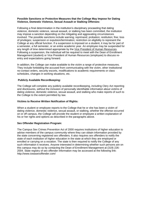#### **Possible Sanctions or Protective Measures that the College May Impose for Dating Violence, Domestic Violence, Sexual Assault or Stalking Offenses:**

Following a final determination in the institution's disciplinary proceeding that dating violence, domestic violence, sexual assault, or stalking has been committed, the institution may impose a sanction depending on the mitigating and aggravating circumstances involved. The possible sanctions include warning; reprimand; probation; restitution; fine; loss of privileges; suspension or expulsion/termination; restriction on eligibility to represent the College at any official function. If a suspension is imposed on a student, it may be for part of a semester, a full semester, or an entire academic year. An employee may be suspended for any length of time determined appropriate by the [Vice President of Human Resources.](file:///C:/Users/HansonDL/AppData/Local/Microsoft/Windows/INetCache/Content.Outlook/XZBVNPEM/) Following a suspension, the individual will be required to meet with the Dean of Enrollment Management (student) or Vice President of Human Resources (employee) to discuss reentry and expectations going forward.

In addition, the College can make available to the victim a range of protective measures. They include forbidding the accused from communicating with the victim, other institutional no-contact orders, security escorts, modifications to academic requirements or class schedules, changes in working situations, etc.

#### **Publicly Available Recordkeeping:**

The College will complete any publicly available recordkeeping, including Clery Act reporting and disclosures, without the inclusion of personally identifiable information about victims of dating violence, domestic violence, sexual assault, and stalking who make reports of such to the College to the extent permitted by law.

#### **Victims to Receive Written Notification of Rights:**

When a student or employee reports to the College that he or she has been a victim of dating violence, domestic violence, sexual assault, or stalking, whether the offense occurred on or off campus, the College will provide the student or employee a written explanation of his or her rights and options as described in the paragraphs above.

#### **Sex Offender Registration Program:**

The Campus Sex Crimes Prevention Act of 2000 requires institutions of higher education to advise members of the campus community where they can obtain information provided by the state concerning registered sex offenders. It also requires sex offenders to notify the state of each institution of higher education in the state at which they are employed or enrolled or carrying on a vocation. The state is then required to notify the College of any such information it receives. Anyone interested in determining whether such persons are on this campus may do so by contacting the Dean of Enrollment Management at (319) 226- 2004. State registry of sex offender information may be accessed at the following link: http://www.iowasexoffender.com/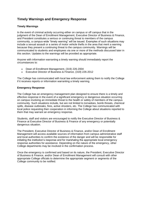# **Timely Warnings and Emergency Response**

#### **Timely Warnings**

In the event of criminal activity occurring either on campus or off campus that in the judgment of the Dean of Enrollment Management, Executive Director of Business & Finance, and President constitutes a serious or continuing threat to members of the campus community, a campus-wide "timely warning" will be issued. Examples of such situations may include a sexual assault or a series of motor vehicle thefts in the area that merit a warning because they present a continuing threat to the campus community. Warnings will be communicated to students and employees via one or more of the methods discussed later in this section. Updates to the warnings will be provided as appropriate.

Anyone with information warranting a timely warning should immediately report the circumstances to:

- Dean of Enrollment Management, (319) 226-2004
- Executive Director of Business & Finance, (319) 226-2012

The College has communicated with local law enforcement asking them to notify the College if it receives reports or information warranting a timely warning.

#### **Emergency Response**

The College has an emergency management plan designed to ensure there is a timely and effective response in the event of a significant emergency or dangerous situation occurring on campus involving an immediate threat to the health or safety of members of the campus community. Such situations include, but are not limited to tornadoes, bomb threats, chemical spills, disease outbreaks, fires, active shooters, etc. The College has communicated with local police requesting their cooperation in informing the College about situations reported to them that may warrant an emergency response.

Students, staff and visitors are encouraged to notify the Executive Director of Business & Finance at Executive Director of Business & Finance of any emergency or potentially dangerous situation.

The President, Executive Director of Business & Finance, and/or Dean of Enrollment Management will access available sources of information from campus administrative staff and local authorities to confirm the existence of the danger and will be responsible for initiating the institution's response and for marshaling the appropriate local emergency response authorities for assistance. Depending on the nature of the emergency, other College departments may be involved in the confirmation process.

Once the emergency is confirmed and based on its nature, the President, Executive Director of Business & Finance, and/or Dean of Enrollment Management will consult with other appropriate College officials to determine the appropriate segment or segments of the College community to be notified.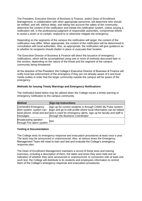The President, Executive Director of Business & Finance, and/or Dean of Enrollment Management, in collaboration with other appropriate personnel, will determine who should be notified, and will, without delay, and taking into account the safety of the community, determine the content of the notification and initiate the notification system, unless issuing a notification will, in the professional judgment of responsible authorities, compromise efforts to assist a victim or to contain, respond to or otherwise mitigate the emergency.

Depending on the segments of the campus the notification will target, the content of the notification may differ. When appropriate, the content of the notification will be determined in consultation with local authorities. Also, as appropriate, the notification will give guidance as to whether its recipients should shelter in place or evacuate their location.

The Executive Director of Business & Finance will direct the issuance of emergency notifications, which will be accomplished using one or more of methods discussed later in this section, depending on the nature of the threat and the segment of the campus community being threatened.

At the direction of the President, the College's Executive Director of Business & Finance will notify local law enforcement of the emergency if they are not already aware of it and local media outlets in order that the larger community outside the campus will be aware of the emergency.

#### **Methods for Issuing Timely Warnings and Emergency Notifications**

| <b>Method</b>                                               | <b>Sign-Up Instructions</b>                                                                                                                                                                                                                                              |
|-------------------------------------------------------------|--------------------------------------------------------------------------------------------------------------------------------------------------------------------------------------------------------------------------------------------------------------------------|
| ConnectEd Emergency<br>Alert system: system can<br>messages | sign up for current students is through CAMS My Pulse system:<br>login and go to edit profile where local information can be edited<br>send phone, email and text and is used for emergency alerts, sign up for faculty and staff is<br>through the Business Coordinator |
| Broadcasting speaker<br>through Fire alarm system           | N/A                                                                                                                                                                                                                                                                      |

The method(s) listed below may be utilized when the College issues a timely warning or emergency notification to the campus community.

#### **Testing & Documentation**

The College tests its emergency response and evacuation procedures at least once a year. The tests may be announced or unannounced. Also, at various times the Emergency Management Team will meet to train and test and evaluate the College's emergency response plan.

The Dean of Enrollment Management maintains a record of these tests and training exercises, including a description of them, the dates and times they were held and an indication of whether they were announced or unannounced. In connection with at least one such test, the College will distribute to its students and employees information to remind them of the College's emergency response and evacuation procedures.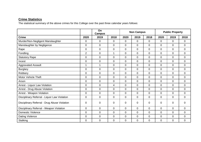# **Crime Statistics**

The statistical summary of the above crimes for this College over the past three calendar years follows:

|                                              |                | On<br><b>Campus</b> |                | <b>Non Campus</b> |                |                | <b>Public Property</b> |                |      |
|----------------------------------------------|----------------|---------------------|----------------|-------------------|----------------|----------------|------------------------|----------------|------|
| <b>Crime</b>                                 | 2020           | 2019                | 2018           | 2020              | 2019           | 2018           | 2020                   | 2019           | 2018 |
| Murder/Non-Negligent Manslaughter            | $\mathbf 0$    | $\Omega$            | 0              | $\mathbf 0$       | $\overline{0}$ | $\overline{0}$ | 0                      | $\overline{0}$ | 0    |
| Manslaughter by Negligence                   | 0              | $\mathbf 0$         | 0              | $\overline{0}$    | $\mathbf 0$    | $\overline{0}$ | 0                      | $\overline{0}$ | 0    |
| Rape                                         | $\mathbf 0$    | $\mathbf 0$         | 0              | $\mathbf 0$       | $\overline{0}$ | $\mathbf 0$    | $\mathbf 0$            | $\overline{0}$ | 0    |
| Fondling                                     | $\overline{2}$ | $\mathbf 0$         | $\mathbf{1}$   | $\mathbf 0$       | $\mathbf 0$    | $\mathbf 0$    | $\mathbf 0$            | $\overline{0}$ | 0    |
| <b>Statutory Rape</b>                        | $\overline{0}$ | $\overline{0}$      | $\overline{0}$ | $\overline{0}$    | $\overline{0}$ | $\Omega$       | $\mathbf 0$            | $\Omega$       | 0    |
| Incest                                       | $\mathbf 0$    | $\mathbf 0$         | 0              | $\mathbf 0$       | $\overline{0}$ | $\overline{0}$ | $\mathbf 0$            | $\overline{0}$ | 0    |
| <b>Aggravated Assault</b>                    | 1              | 1                   | $\overline{0}$ | $\mathbf 0$       | $\mathbf 0$    | $\overline{0}$ | 0                      | $\overline{0}$ | 0    |
| <b>Burglary</b>                              | $\overline{0}$ | $\overline{0}$      | 0              | $\mathbf 0$       | $\Omega$       | $\overline{0}$ | 0                      | $\overline{0}$ | 0    |
| Robbery                                      | $\mathbf 0$    | $\mathbf 0$         | 0              | $\mathbf 0$       | $\overline{0}$ | $\overline{0}$ | $\mathbf 0$            | $\overline{0}$ | 0    |
| <b>Motor Vehicle Theft</b>                   | $\mathbf 0$    | $\mathbf 0$         | $\mathbf 0$    | $\mathbf 0$       | $\mathbf 0$    | $\mathbf{0}$   | $\mathbf 0$            | $\overline{0}$ | 0    |
| Arson                                        | $\overline{0}$ | $\overline{0}$      | 0              | $\mathbf 0$       | $\overline{0}$ | $\mathbf{0}$   | $\mathbf 0$            | $\overline{0}$ | 0    |
| Arrest - Liquor Law Violation                | $\mathbf 0$    | $\mathbf 0$         | 4              | $\mathbf 0$       | $\mathbf{0}$   | $\overline{0}$ | 0                      | $\overline{0}$ | 0    |
| Arrest - Drug Abuse Violation                | 0              | $\overline{0}$      | $\overline{0}$ | $\overline{0}$    | $\Omega$       | $\overline{0}$ | 0                      | $\overline{0}$ | 0    |
| Arrest - Weapon Violation                    | 0              | $\mathbf 0$         | 0              | $\overline{0}$    | $\Omega$       | $\Omega$       | 0                      | $\Omega$       | 0    |
| Disciplinary Referral - Liquor Law Violation | $\mathbf 0$    | $\mathbf 0$         | 0              | $\overline{0}$    | $\mathbf 0$    | $\Omega$       | $\mathbf 0$            | $\overline{0}$ | 0    |
| Disciplinary Referral - Drug Abuse Violation | $\mathbf 0$    | $\overline{0}$      | $\overline{0}$ | $\mathbf 0$       | $\mathbf 0$    | $\overline{0}$ | $\mathbf 0$            | $\overline{0}$ | 0    |
| Disciplinary Referral - Weapon Violation     | $\mathbf 0$    | 0                   | 0              | $\mathbf 0$       | $\overline{0}$ | $\overline{0}$ | $\mathbf 0$            | $\overline{0}$ | 0    |
| <b>Domestic Violence</b>                     | $\mathbf 0$    | $\mathbf 0$         | 0              | $\mathbf 0$       | $\mathbf 0$    | $\overline{0}$ | $\mathbf 0$            | $\overline{0}$ | 0    |
| Dating Violence                              | $\mathbf 0$    | $\overline{0}$      | $\overline{0}$ | $\overline{0}$    | $\overline{0}$ | $\overline{0}$ | $\mathbf 0$            | $\Omega$       | 0    |
| Stalking                                     | $\mathbf 0$    | $\mathbf 0$         | 0              | $\mathbf 0$       | $\mathbf 0$    | 0              | 0                      | $\overline{0}$ | 0    |